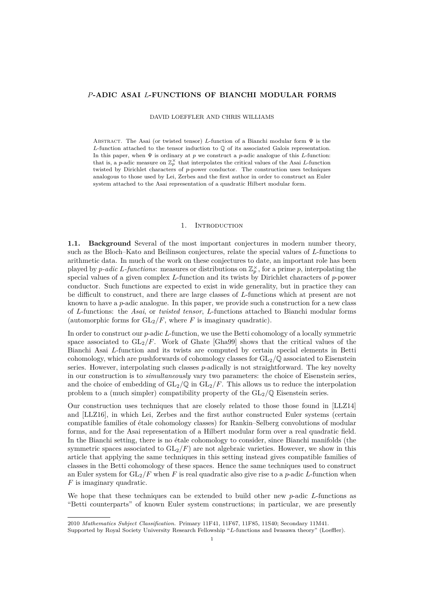#### <span id="page-0-0"></span>*P***-ADIC ASAI** *L***-FUNCTIONS OF BIANCHI MODULAR FORMS**

DAVID LOEFFLER AND CHRIS WILLIAMS

Abstract. The Asai (or twisted tensor) *L*-function of a Bianchi modular form Ψ is the *L*-function attached to the tensor induction to Q of its associated Galois representation. In this paper, when Ψ is ordinary at *p* we construct a *p*-adic analogue of this *L*-function: that is, a *p*-adic measure on  $\mathbb{Z}_p^{\times}$  that interpolates the critical values of the Asai *L*-function twisted by Dirichlet characters of *p*-power conductor. The construction uses techniques analogous to those used by Lei, Zerbes and the first author in order to construct an Euler system attached to the Asai representation of a quadratic Hilbert modular form.

#### 1. INTRODUCTION

**1.1. Background** Several of the most important conjectures in modern number theory, such as the Bloch–Kato and Beilinson conjectures, relate the special values of *L*-functions to arithmetic data. In much of the work on these conjectures to date, an important role has been played by *p*-adic L-functions: measures or distributions on  $\mathbb{Z}_p^{\times}$ , for a prime *p*, interpolating the special values of a given complex *L*-function and its twists by Dirichlet characters of *p*-power conductor. Such functions are expected to exist in wide generality, but in practice they can be difficult to construct, and there are large classes of *L*-functions which at present are not known to have a *p*-adic analogue. In this paper, we provide such a construction for a new class of *L*-functions: the *Asai*, or *twisted tensor*, *L*-functions attached to Bianchi modular forms (automorphic forms for  $GL_2/F$ , where *F* is imaginary quadratic).

In order to construct our *p*-adic *L*-function, we use the Betti cohomology of a locally symmetric space associated to  $GL_2/F$ . Work of Ghate [\[Gha99\]](#page-23-0) shows that the critical values of the Bianchi Asai *L*-function and its twists are computed by certain special elements in Betti cohomology, which are pushforwards of cohomology classes for GL2*/*Q associated to Eisenstein series. However, interpolating such classes *p*-adically is not straightforward. The key novelty in our construction is to *simultaneously* vary two parameters: the choice of Eisenstein series, and the choice of embedding of  $GL_2/\mathbb{Q}$  in  $GL_2/F$ . This allows us to reduce the interpolation problem to a (much simpler) compatibility property of the  $GL_2/\mathbb{Q}$  Eisenstein series.

Our construction uses techniques that are closely related to those those found in [\[LLZ14\]](#page-23-1) and [\[LLZ16\]](#page-23-2), in which Lei, Zerbes and the first author constructed Euler systems (certain compatible families of étale cohomology classes) for Rankin–Selberg convolutions of modular forms, and for the Asai representation of a Hilbert modular form over a real quadratic field. In the Bianchi setting, there is no étale cohomology to consider, since Bianchi manifolds (the symmetric spaces associated to  $GL_2/F$ ) are not algebraic varieties. However, we show in this article that applying the same techniques in this setting instead gives compatible families of classes in the Betti cohomology of these spaces. Hence the same techniques used to construct an Euler system for  $GL_2/F$  when F is real quadratic also give rise to a *p*-adic L-function when *F* is imaginary quadratic.

We hope that these techniques can be extended to build other new *p*-adic *L*-functions as "Betti counterparts" of known Euler system constructions; in particular, we are presently

<sup>2010</sup> *Mathematics Subject Classification.* Primary 11F41, 11F67, 11F85, 11S40; Secondary 11M41.

Supported by Royal Society University Research Fellowship "*L*-functions and Iwasawa theory" (Loeffler).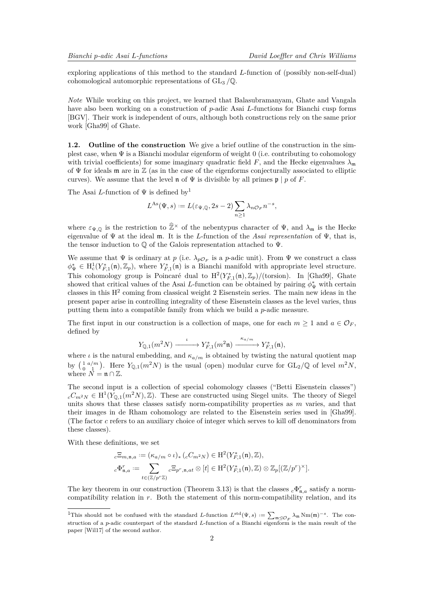<span id="page-1-1"></span>exploring applications of this method to the standard *L*-function of (possibly non-self-dual) cohomological automorphic representations of GL<sup>3</sup> */*Q.

*Note* While working on this project, we learned that Balasubramanyam, Ghate and Vangala have also been working on a construction of *p*-adic Asai *L*-functions for Bianchi cusp forms [\[BGV\]](#page-23-3). Their work is independent of ours, although both constructions rely on the same prior work [\[Gha99\]](#page-23-0) of Ghate.

**1.2. Outline of the construction** We give a brief outline of the construction in the simplest case, when  $\Psi$  is a Bianchi modular eigenform of weight 0 (i.e. contributing to cohomology with trivial coefficients) for some imaginary quadratic field  $F$ , and the Hecke eigenvalues  $\lambda_{m}$ of  $\Psi$  for ideals m are in  $\mathbb Z$  (as in the case of the eigenforms conjecturally associated to elliptic curves). We assume that the level **n** of  $\Psi$  is divisible by all primes  $\mathfrak{p} \mid p$  of *F*.

The Asai *L*-function of Ψ is defined by[1](#page-1-0)

$$
L^{\mathrm{As}}(\Psi, s) := L(\varepsilon_{\Psi, \mathbb{Q}}, 2s - 2) \sum_{n \ge 1} \lambda_n \mathfrak{O}_F n^{-s},
$$

where  $\varepsilon_{\Psi,Q}$  is the restriction to  $\hat{\mathbb{Z}}^{\times}$  of the nebentypus character of  $\Psi$ , and  $\lambda_{\mathfrak{m}}$  is the Hecke eigenvalue of Ψ at the ideal m. It is the *L*-function of the *Asai representation* of Ψ, that is, the tensor induction to  $\mathbb Q$  of the Galois representation attached to  $\Psi$ .

We assume that  $\Psi$  is ordinary at *p* (i.e.  $\lambda_{p\mathcal{O}_F}$  is a *p*-adic unit). From  $\Psi$  we construct a class  $\phi^*_{\Psi} \in H^1_c(Y^*_{F,1}(\mathfrak{n}), \mathbb{Z}_p)$ , where  $Y^*_{F,1}(\mathfrak{n})$  is a Bianchi manifold with appropriate level structure. This cohomology group is Poincaré dual to  $H^2(Y_{F,1}^*(\mathfrak{n}), \mathbb{Z}_p)$ /(torsion). In [\[Gha99\]](#page-23-0), Ghate showed that critical values of the Asai *L*-function can be obtained by pairing  $\phi_{\Psi}^*$  with certain classes in this  $H^2$  coming from classical weight 2 Eisenstein series. The main new ideas in the present paper arise in controlling integrality of these Eisenstein classes as the level varies, thus putting them into a compatible family from which we build a *p*-adic measure.

The first input in our construction is a collection of maps, one for each  $m \geq 1$  and  $a \in \mathcal{O}_F$ , defined by

$$
Y_{\mathbb{Q},1}(m^2N) \xrightarrow{\iota} Y_{F,1}^*(m^2\mathfrak{n}) \xrightarrow{\kappa_{a/m}} Y_{F,1}^*(\mathfrak{n}),
$$

where  $\iota$  is the natural embedding, and  $\kappa_{a/m}$  is obtained by twisting the natural quotient map by  $\left(\begin{array}{c} 1 \ a/m \\ 0 \end{array}\right)$ . Here  $Y_{\mathbb{Q},1}(m^2N)$  is the usual (open) modular curve for  $GL_2/\mathbb{Q}$  of level  $m^2N$ , where  $N = \mathfrak{n} \cap \mathbb{Z}$ .

The second input is a collection of special cohomology classes ("Betti Eisenstein classes")  $c$ <sup>*C*</sup>*m*<sup>2</sup>*N*</sub> ∈ H<sup>1</sup>(*Y*<sub>Q</sub>,1(*m*<sup>2</sup>*N*)*,* Z). These are constructed using Siegel units. The theory of Siegel units shows that these classes satisfy norm-compatibility properties as *m* varies, and that their images in de Rham cohomology are related to the Eisenstein series used in [\[Gha99\]](#page-23-0). (The factor *c* refers to an auxiliary choice of integer which serves to kill off denominators from these classes).

With these definitions, we set

$$
{}_c\Xi_{m,\mathfrak{n},a} := (\kappa_{a/m} \circ \iota)_* ({}_cC_{m^2N}) \in \mathrm{H}^2(Y_{F,1}^*(\mathfrak{n}),\mathbb{Z}),
$$
  

$$
{}_c\Phi_{\mathfrak{n},a}^r := \sum_{t \in (\mathbb{Z}/p^r\mathbb{Z})} {}_c\Xi_{p^r,\mathfrak{n},at} \otimes [t] \in \mathrm{H}^2(Y_{F,1}^*(\mathfrak{n}),\mathbb{Z}) \otimes \mathbb{Z}_p[(\mathbb{Z}/p^r)^{\times}].
$$

The key theorem in our construction (Theorem [3.13\)](#page-10-0) is that the classes  ${}_{c}\Phi_{\mathfrak{n},a}^{r}$  satisfy a normcompatibility relation in *r*. Both the statement of this norm-compatibility relation, and its

<span id="page-1-0"></span><sup>&</sup>lt;sup>1</sup>This should not be confused with the standard *L*-function  $L^{\text{std}}(\Psi, s) := \sum_{\mathfrak{m} \trianglelefteq \mathcal{O}_F} \lambda_{\mathfrak{m}} \text{Nm}(\mathfrak{m})^{-s}$ . The construction of a *p*-adic counterpart of the standard *L*-function of a Bianchi eigenform is the main result of the paper [\[Wil17\]](#page-23-4) of the second author.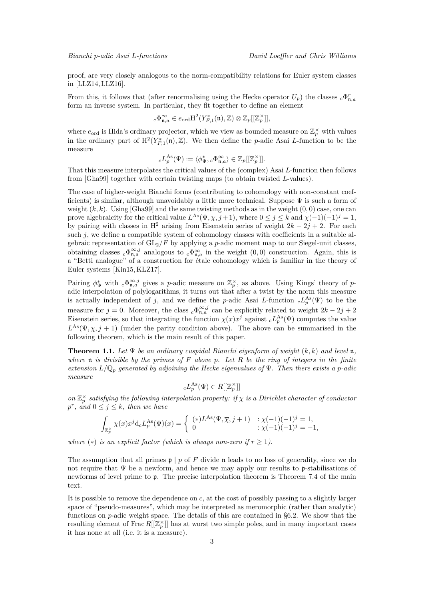<span id="page-2-0"></span>proof, are very closely analogous to the norm-compatibility relations for Euler system classes in [\[LLZ14,](#page-23-1)[LLZ16\]](#page-23-2).

From this, it follows that (after renormalising using the Hecke operator  $U_p$ ) the classes  $_c\Phi_{\mathfrak{n},a}^r$ form an inverse system. In particular, they fit together to define an element

$$
{}_c\Phi_{\mathfrak{n},a}^\infty \in e_{\mathrm{ord}}\mathrm{H}^2(Y_{F,1}^*(\mathfrak{n}),\mathbb{Z}) \otimes \mathbb{Z}_p[[\mathbb{Z}_p^\times]],
$$

where  $e_{\text{ord}}$  is Hida's ordinary projector, which we view as bounded measure on  $\mathbb{Z}_p^{\times}$  with values in the ordinary part of  $H^2(Y_{F,1}^*(\mathfrak{n}), \mathbb{Z})$ . We then define the *p*-adic Asai *L*-function to be the measure

$$
{}_cL_p^{\mathrm{As}}(\Psi):=\langle \phi^*_\Psi, {}_c\Phi_{\mathfrak{n},a}^\infty\rangle\in\mathbb{Z}_p[[\mathbb{Z}_p^\times]].
$$

That this measure interpolates the critical values of the (complex) Asai *L*-function then follows from [\[Gha99\]](#page-23-0) together with certain twisting maps (to obtain twisted *L*-values).

The case of higher-weight Bianchi forms (contributing to cohomology with non-constant coefficients) is similar, although unavoidably a little more technical. Suppose  $\Psi$  is such a form of weight  $(k, k)$ . Using [\[Gha99\]](#page-23-0) and the same twisting methods as in the weight  $(0, 0)$  case, one can prove algebraicity for the critical value  $L^{As}(\Psi, \chi, j+1)$ , where  $0 \leq j \leq k$  and  $\chi(-1)(-1)^{j} = 1$ , by pairing with classes in H<sup>2</sup> arising from Eisenstein series of weight  $2k - 2j + 2$ . For each such  $j$ , we define a compatible system of cohomology classes with coefficients in a suitable algebraic representation of  $GL_2/F$  by applying a *p*-adic moment map to our Siegel-unit classes, obtaining classes  $_c \Phi_{\mathfrak{n},a}^{\infty,j}$  analogous to  $_c \Phi_{\mathfrak{n},a}^{\infty}$  in the weight  $(0,0)$  construction. Again, this is a "Betti analogue" of a construction for étale cohomology which is familiar in the theory of Euler systems [\[Kin15,](#page-23-5)[KLZ17\]](#page-23-6).

Pairing  $\phi_{\Psi}^*$  with  $_c\Phi_{\mathfrak{n},a}^{\infty,j}$  gives a *p*-adic measure on  $\mathbb{Z}_p^{\times}$ , as above. Using Kings' theory of *p*adic interpolation of polylogarithms, it turns out that after a twist by the norm this measure is actually independent of *j*, and we define the *p*-adic Asai *L*-function  ${}_{c}L_{p}^{\text{As}}(\Psi)$  to be the measure for  $j = 0$ . Moreover, the class  ${}_{c}\Phi_{\mathfrak{n},a}^{\infty,j}$  can be explicitly related to weight  $2k - 2j + 2$ Eisenstein series, so that integrating the function  $\chi(x)x^j$  against  $_cL_p^{\text{As}}(\Psi)$  computes the value  $L^{\text{As}}(\Psi,\chi,j+1)$  (under the parity condition above). The above can be summarised in the following theorem, which is the main result of this paper.

**Theorem 1.1.** Let  $\Psi$  be an ordinary cuspidal Bianchi eigenform of weight  $(k, k)$  and level n, *where* n *is divisible by the primes of F above p. Let R be the ring of integers in the finite extension L/*Q*<sup>p</sup> generated by adjoining the Hecke eigenvalues of* Ψ*. Then there exists a p-adic measure*

$$
{}_cL_p^{\rm As}(\Psi)\in R[[\mathbb{Z}_p^\times]]
$$

*on*  $\mathbb{Z}_p^{\times}$  satisfying the following interpolation property: if  $\chi$  is a Dirichlet character of conductor  $p^r$ , and  $0 \leq j \leq k$ , then we have

$$
\int_{\mathbb{Z}_p^\times} \chi(x) x^j \mathrm{d}_c L_p^{\mathrm{As}}(\Psi)(x) = \begin{cases} (*) L^{\mathrm{As}}(\Psi, \overline{\chi}, j+1) & : \chi(-1)(-1)^j = 1, \\ 0 & : \chi(-1)(-1)^j = -1, \end{cases}
$$

*where*  $(*)$  *is an explicit factor (which is always non-zero if*  $r > 1$ ).

The assumption that all primes  $\mathfrak{p} \mid p$  of *F* divide n leads to no loss of generality, since we do not require that  $\Psi$  be a newform, and hence we may apply our results to p-stabilisations of newforms of level prime to p. The precise interpolation theorem is Theorem [7.4](#page-21-0) of the main text.

It is possible to remove the dependence on *c*, at the cost of possibly passing to a slightly larger space of "pseudo-measures", which may be interpreted as meromorphic (rather than analytic) functions on *p*-adic weight space. The details of this are contained in [§6.2.](#page-19-0) We show that the resulting element of Frac  $R[[\mathbb{Z}_p^{\times}]]$  has at worst two simple poles, and in many important cases it has none at all (i.e. it is a measure).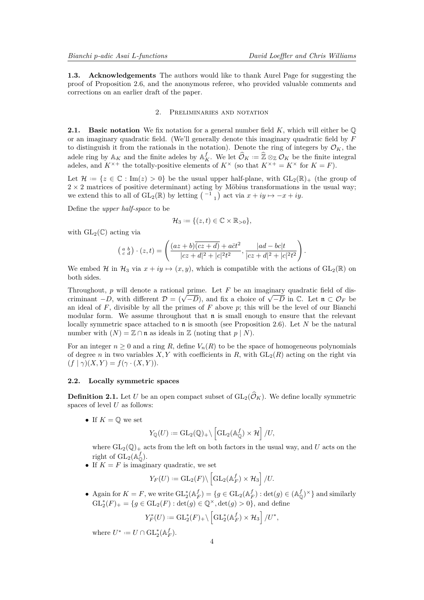**1.3. Acknowledgements** The authors would like to thank Aurel Page for suggesting the proof of Proposition [2.6,](#page-4-0) and the anonymous referee, who provided valuable comments and corrections on an earlier draft of the paper.

## 2. Preliminaries and notation

**2.1.** Basic notation We fix notation for a general number field K, which will either be  $\mathbb{Q}$ or an imaginary quadratic field. (We'll generally denote this imaginary quadratic field by *F* to distinguish it from the rationals in the notation). Denote the ring of integers by  $\mathcal{O}_K$ , the adele ring by  $\mathbb{A}_K$  and the finite adeles by  $\mathbb{A}_K^f$ . We let  $\widehat{\mathcal{O}}_K := \widehat{\mathbb{Z}} \otimes_{\mathbb{Z}} \mathcal{O}_K$  be the finite integral adeles, and  $K^{\times +}$  the totally-positive elements of  $K^{\times}$  (so that  $K^{\times +} = K^{\times}$  fo

Let  $\mathcal{H} := \{z \in \mathbb{C} : \text{Im}(z) > 0\}$  be the usual upper half-plane, with  $GL_2(\mathbb{R})_+$  (the group of  $2 \times 2$  matrices of positive determinant) acting by Möbius transformations in the usual way; we extend this to all of  $GL_2(\mathbb{R})$  by letting  $\begin{pmatrix} -1 \\ 1 \end{pmatrix}$  act via  $x + iy \mapsto -x + iy$ .

Define the *upper half-space* to be

$$
\mathcal{H}_3 := \{ (z, t) \in \mathbb{C} \times \mathbb{R}_{>0} \},
$$

with  $GL_2(\mathbb{C})$  acting via

$$
\begin{pmatrix} a & b \\ c & d \end{pmatrix} \cdot (z, t) = \left( \frac{(az+b)\overline{(cz+d)} + a\overline{c}t^2}{|cz+d|^2 + |c|^2t^2}, \frac{|ad-bc|t}{|cz+d|^2 + |c|^2t^2} \right).
$$

We embed H in  $\mathcal{H}_3$  via  $x + iy \mapsto (x, y)$ , which is compatible with the actions of  $GL_2(\mathbb{R})$  on both sides.

Throughout, *p* will denote a rational prime. Let *F* be an imaginary quadratic field of dis**criminant**  $-D$ , with different  $D = (\sqrt{-D})$ , and fix a choice of  $\sqrt{-D}$  in  $\mathbb{C}$ . Let  $\mathfrak{n} \subset \mathcal{O}_F$  be criminant  $-D$ , with different  $D = (\sqrt{-D})$ , and fix a choice of  $\sqrt{-D}$  in  $\mathbb{C}$ . Let  $\mathfrak{n} \subset \mathcal{O}_F$  be an ideal of  $F$ , divisible by all the primes of  $F$  above  $p$ ; this will be the level of our Bianchi modular form. We assume throughout that  $\mathfrak n$  is small enough to ensure that the relevant locally symmetric space attached to n is smooth (see Proposition [2.6\)](#page-4-0). Let *N* be the natural number with  $(N) = \mathbb{Z} \cap \mathfrak{n}$  as ideals in  $\mathbb{Z}$  (noting that  $p \mid N$ ).

For an integer  $n \geq 0$  and a ring R, define  $V_n(R)$  to be the space of homogeneous polynomials of degree *n* in two variables  $X, Y$  with coefficients in  $R$ , with  $GL_2(R)$  acting on the right via  $(f | \gamma)(X, Y) = f(\gamma \cdot (X, Y)).$ 

### **2.2. Locally symmetric spaces**

**Definition 2.1.** Let *U* be an open compact subset of  $GL_2(\widehat{\mathcal{O}}_K)$ . We define locally symmetric spaces of level *U* as follows:

• If  $K = \mathbb{O}$  we set

$$
Y_{\mathbb{Q}}(U) := \mathrm{GL}_2(\mathbb{Q})_+ \backslash \left[ \mathrm{GL}_2(\mathbb{A}_{\mathbb{Q}}^f) \times \mathcal{H} \right] / U,
$$

where  $GL_2(\mathbb{Q})_+$  acts from the left on both factors in the usual way, and *U* acts on the right of  $GL_2(\mathbb{A}_\mathbb{Q}^f)$ .

• If  $K = F$  is imaginary quadratic, we set

$$
Y_F(U):=\operatorname{GL}_2(F)\backslash \left[\operatorname{GL}_2(\mathbb{A}_F^f)\times \mathcal{H}_3\right]/U.
$$

• Again for  $K = F$ , we write  $\mathrm{GL}_2^*(\mathbb{A}_F^f) = \{ g \in \mathrm{GL}_2(\mathbb{A}_F^f) : \det(g) \in (\mathbb{A}_\mathbb{Q}^f)^{\times} \}$  and similarly  $GL_2^*(F)_+ = \{ g \in GL_2(F) : \det(g) \in \mathbb{Q}^{\times}, \det(g) > 0 \},$  and define

$$
Y_F^*(U):=\operatorname{GL}_2^*(F)_+\backslash \left[\operatorname{GL}_2^*(\mathbb{A}_F^f)\times\mathcal{H}_3\right]/U^*,
$$

where  $U^* := U \cap \mathrm{GL}_2^*(\mathbb{A}_F^f)$ .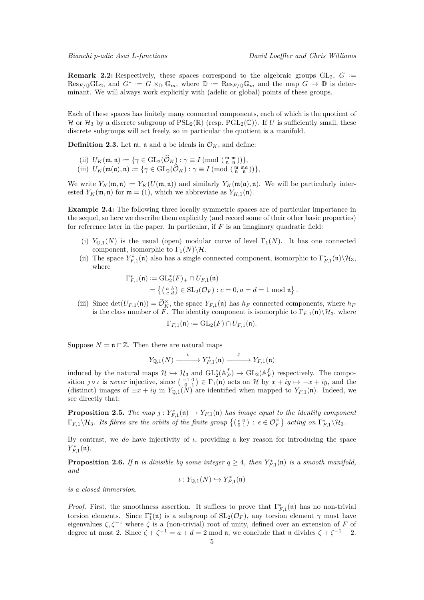<span id="page-4-1"></span>**Remark 2.2:** Respectively, these spaces correspond to the algebraic groups  $GL_2$ ,  $G :=$  $\text{Res}_{F/\mathbb{Q}}\text{GL}_2$ , and  $G^* := G \times_{\mathbb{D}} \mathbb{G}_m$ , where  $\mathbb{D} := \text{Res}_{F/\mathbb{Q}} \mathbb{G}_m$  and the map  $G \to \mathbb{D}$  is determinant. We will always work explicitly with (adelic or global) points of these groups.

Each of these spaces has finitely many connected components, each of which is the quotient of H or  $\mathcal{H}_3$  by a discrete subgroup of  $PSL_2(\mathbb{R})$  (resp.  $PGL_2(\mathbb{C})$ ). If *U* is sufficiently small, these discrete subgroups will act freely, so in particular the quotient is a manifold.

**Definition 2.3.** Let  $m$ ,  $n$  and  $\alpha$  be ideals in  $\mathcal{O}_K$ , and define:

- (ii)  $U_K(\mathfrak{m}, \mathfrak{n}) := \{ \gamma \in \text{GL}_2(\widehat{\mathcal{O}}_K) : \gamma \equiv I \text{ (mod } \mathfrak{m}, \mathfrak{m}) \},$
- (iii)  $U_K(\mathfrak{m}(\mathfrak{a}), \mathfrak{n}) := \{ \gamma \in \mathrm{GL}_2(\widehat{\mathcal{O}}_K) : \gamma \equiv I \pmod{\left(\begin{array}{cc} \mathfrak{m} & \mathfrak{m} \\ \mathfrak{n} & \mathfrak{n} \end{array}\right)} \},$

We write  $Y_K(\mathfrak{m}, \mathfrak{n}) := Y_K(U(\mathfrak{m}, \mathfrak{n}))$  and similarly  $Y_K(\mathfrak{m}(\mathfrak{a}), \mathfrak{n})$ . We will be particularly interested  $Y_K(\mathfrak{m}, \mathfrak{n})$  for  $\mathfrak{m} = (1)$ , which we abbreviate as  $Y_{K,1}(\mathfrak{n})$ .

**Example 2.4:** The following three locally symmetric spaces are of particular importance in the sequel, so here we describe them explicitly (and record some of their other basic properties) for reference later in the paper. In particular, if *F* is an imaginary quadratic field:

- (i)  $Y_{\mathbb{Q},1}(N)$  is the usual (open) modular curve of level  $\Gamma_1(N)$ . It has one connected component, isomorphic to  $\Gamma_1(N)\backslash\mathcal{H}$ .
- (ii) The space  $Y_{F,1}^*(\mathfrak{n})$  also has a single connected component, isomorphic to  $\Gamma_{F,1}^*(\mathfrak{n})\setminus\mathcal{H}_3$ , where

$$
\Gamma_{F,1}^*(\mathfrak{n}) := GL_2^*(F)_{+} \cap U_{F,1}(\mathfrak{n})
$$
  
= { (a b)  $\in$  SL<sub>2</sub>(*O<sub>F</sub>*) : *c* = 0, *a* = *d* = 1 mod  $\mathfrak{n}$  }.

(iii) Since  $\det(U_{F,1}(\mathfrak{n})) = \widehat{\mathcal{O}}_K^{\times}$ , the space  $Y_{F,1}(\mathfrak{n})$  has  $h_F$  connected components, where  $h_F$ is the class number of *F*. The identity component is isomorphic to  $\Gamma_{F,1}(\mathfrak{n})\backslash\mathcal{H}_3$ , where

$$
\Gamma_{F,1}(\mathfrak{n}) := \mathrm{GL}_2(F) \cap U_{F,1}(\mathfrak{n}).
$$

Suppose  $N = \mathfrak{n} \cap \mathbb{Z}$ . Then there are natural maps

$$
Y_{\mathbb{Q},1}(N) \xrightarrow{\iota} Y_{F,1}^*(\mathfrak{n}) \xrightarrow{\jmath} Y_{F,1}(\mathfrak{n})
$$

induced by the natural maps  $\mathcal{H} \hookrightarrow \mathcal{H}_3$  and  $\text{GL}_2^*(\mathbb{A}_F^f) \to \text{GL}_2(\mathbb{A}_F^f)$  respectively. The composition  $j \circ \iota$  is *never* injective, since  $\begin{pmatrix} -1 & 0 \\ 0 & 1 \end{pmatrix} \in \Gamma_1(\mathfrak{n})$  acts on H by  $x + iy \mapsto -x + iy$ , and the (distinct) images of  $\pm x + iy$  in  $Y_{\mathbb{Q},1}(N)$  are identified when mapped to  $Y_{F,1}(\mathfrak{n})$ . Indeed, we see directly that:

**Proposition 2.5.** *The map*  $j: Y_{F,1}^*(\mathfrak{n}) \to Y_{F,1}(\mathfrak{n})$  *has image equal to the identity component*  $\Gamma_{F,1}\setminus\mathcal{H}_3$ . Its fibres are the orbits of the finite group  $\{(\begin{smallmatrix} \epsilon & 0 \\ 0 & 1 \end{smallmatrix}) \, : \, \epsilon \in \mathcal{O}_F^{\times} \}$  acting on  $\Gamma_{F,1}^{\ast}\setminus\mathcal{H}_3$ .

By contrast, we *do* have injectivity of *ι*, providing a key reason for introducing the space *Y* ∗ *F,*1 (n).

<span id="page-4-0"></span>**Proposition 2.6.** *If*  $\mathfrak{n}$  *is divisible by some integer*  $q \geq 4$ *, then*  $Y_{F,1}^*(\mathfrak{n})$  *is a smooth manifold, and*

$$
\iota:Y_{\mathbb{Q},1}(N)\hookrightarrow Y_{F,1}^*(\mathfrak{n})
$$

*is a closed immersion.*

*Proof.* First, the smoothness assertion. It suffices to prove that  $\Gamma_{F,1}^*(\mathfrak{n})$  has no non-trivial torsion elements. Since  $\Gamma_1^*(\mathfrak{n})$  is a subgroup of  $SL_2(\mathcal{O}_F)$ , any torsion element  $\gamma$  must have eigenvalues *ζ, ζ*<sup>−</sup><sup>1</sup> where *ζ* is a (non-trivial) root of unity, defined over an extension of *F* of degree at most 2. Since  $\zeta + \zeta^{-1} = a + d = 2 \text{ mod } \mathfrak{n}$ , we conclude that  $\mathfrak{n}$  divides  $\zeta + \zeta^{-1} - 2$ .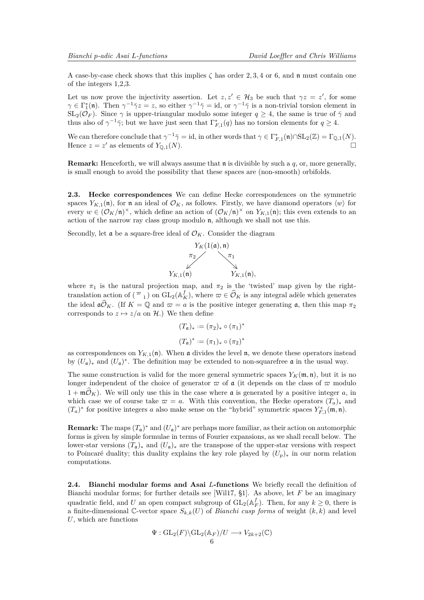<span id="page-5-1"></span>A case-by-case check shows that this implies *ζ* has order 2*,* 3*,* 4 or 6, and n must contain one of the integers 1,2,3.

Let us now prove the injectivity assertion. Let  $z, z' \in \mathcal{H}_3$  be such that  $\gamma z = z'$ , for some  $\gamma \in \Gamma_1^*(\mathfrak{n})$ . Then  $\gamma^{-1}\overline{\gamma}z=z$ , so either  $\gamma^{-1}\overline{\gamma} = id$ , or  $\gamma^{-1}\overline{\gamma}$  is a non-trivial torsion element in  $SL_2(\mathcal{O}_F)$ . Since  $\gamma$  is upper-triangular modulo some integer  $q \geq 4$ , the same is true of  $\bar{\gamma}$  and thus also of  $\gamma^{-1}\bar{\gamma}$ ; but we have just seen that  $\Gamma_{F,1}^*(q)$  has no torsion elements for  $q \geq 4$ .

We can therefore conclude that  $\gamma^{-1}\bar{\gamma} = id$ , in other words that  $\gamma \in \Gamma_{F,1}^*(\mathfrak{n}) \cap SL_2(\mathbb{Z}) = \Gamma_{\mathbb{Q},1}(N)$ . Hence  $z = z'$  as elements of  $Y_{\mathbb{Q},1}(N)$ .

**Remark:** Henceforth, we will always assume that n is divisible by such a *q*, or, more generally, is small enough to avoid the possibility that these spaces are (non-smooth) orbifolds.

<span id="page-5-0"></span>**2.3. Hecke correspondences** We can define Hecke correspondences on the symmetric spaces  $Y_{K,1}(\mathfrak{n})$ , for  $\mathfrak{n}$  an ideal of  $\mathcal{O}_K$ , as follows. Firstly, we have diamond operators  $\langle w \rangle$  for every  $w \in (\mathcal{O}_K/\mathfrak{n})^{\times}$ , which define an action of  $(\mathcal{O}_K/\mathfrak{n})^{\times}$  on  $Y_{K,1}(\mathfrak{n})$ ; this even extends to an action of the narrow ray class group modulo n, although we shall not use this.

Secondly, let  $\mathfrak a$  be a square-free ideal of  $\mathcal O_K$ . Consider the diagram



where  $\pi_1$  is the natural projection map, and  $\pi_2$  is the 'twisted' map given by the righttranslation action of  $({\infty})$  on  $GL_2(\mathbb{A}_K^f)$ , where  ${\infty} \in \widehat{\mathcal{O}}_K$  is any integral adèle which generates the ideal  $\mathfrak{a} \widehat{\mathcal{O}}_K$ . (If  $K = \mathbb{Q}$  and  $\varpi = a$  is the positive integer generating  $\mathfrak{a}$ , then this map  $\pi_2$ corresponds to  $z \mapsto z/a$  on H.) We then define

$$
(T_a)_* := (\pi_2)_* \circ (\pi_1)^*
$$
  

$$
(T_a)^* := (\pi_1)_* \circ (\pi_2)^*
$$

as correspondences on  $Y_{K,1}(\mathfrak{n})$ . When  $\mathfrak{a}$  divides the level  $\mathfrak{n}$ , we denote these operators instead by  $(U_{\mathfrak{a}})_*$  and  $(U_{\mathfrak{a}})^*$ . The definition may be extended to non-squarefree  $\mathfrak a$  in the usual way.

The same construction is valid for the more general symmetric spaces  $Y_K(\mathfrak{m}, \mathfrak{n})$ , but it is no longer independent of the choice of generator  $\bar{\varpi}$  of a (it depends on the class of  $\bar{\varpi}$  modulo  $1 + \mathfrak{m} \widehat{\mathcal{O}}_K$ ). We will only use this in the case where **a** is generated by a positive integer *a*, in which case we of course take  $\varpi = a$ . With this convention, the Hecke operators  $(T_a)_*$  and  $(T_a)^*$  for positive integers *a* also make sense on the "hybrid" symmetric spaces  $Y_{F,1}^*(\mathfrak{m}, \mathfrak{n})$ .

**Remark:** The maps  $(T_a)^*$  and  $(U_a)^*$  are perhaps more familiar, as their action on automorphic forms is given by simple formulae in terms of Fourier expansions, as we shall recall below. The lower-star versions  $(T_a)_*$  and  $(U_a)_*$  are the transpose of the upper-star versions with respect to Poincaré duality; this duality explains the key role played by  $(U_p)_*$  in our norm relation computations.

**2.4. Bianchi modular forms and Asai** *L***-functions** We briefly recall the definition of Bianchi modular forms; for further details see [\[Wil17,](#page-23-4) §1]. As above, let *F* be an imaginary quadratic field, and *U* an open compact subgroup of  $GL_2(\mathbb{A}_F^f)$ . Then, for any  $k \geq 0$ , there is a finite-dimensional C-vector space  $S_{k,k}(U)$  of *Bianchi cusp forms* of weight  $(k, k)$  and level *U*, which are functions

$$
\Psi: GL_2(F)\backslash GL_2(\mathbb{A}_F)/U \longrightarrow V_{2k+2}(\mathbb{C})
$$
6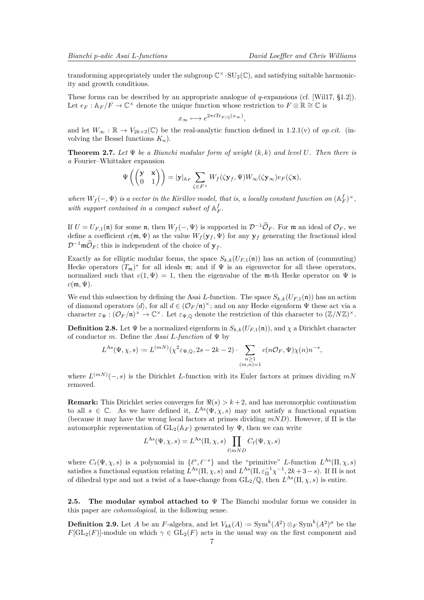<span id="page-6-0"></span>transforming appropriately under the subgroup  $\mathbb{C}^{\times} \cdot SU_2(\mathbb{C})$ , and satisfying suitable harmonicity and growth conditions.

These forms can be described by an appropriate analogue of *q*-expansions (cf. [\[Wil17,](#page-23-4) §1.2]). Let  $e_F : \mathbb{A}_F/F \to \mathbb{C}^\times$  denote the unique function whose restriction to  $F \otimes \mathbb{R} \cong \mathbb{C}$  is

$$
x_{\infty} \longmapsto e^{2\pi i \text{Tr}_{F/\mathbb{Q}}(x_{\infty})},
$$

and let  $W_\infty : \mathbb{R} \to V_{2k+2}(\mathbb{C})$  be the real-analytic function defined in 1.2.1(v) of *op.cit.* (involving the Bessel functions *Kn*).

**Theorem 2.7.** *Let* Ψ *be a Bianchi modular form of weight* (*k, k*) *and level U. Then there is a* Fourier–Whittaker expansion

$$
\Psi\left(\begin{pmatrix} \mathbf{y} & \mathbf{x} \\ 0 & 1 \end{pmatrix} \right) = |\mathbf{y}|_{\mathbb{A}_F} \sum_{\zeta \in F^\times} W_f(\zeta \mathbf{y}_f, \Psi) W_\infty(\zeta \mathbf{y}_\infty) e_F(\zeta \mathbf{x}),
$$

*where*  $W_f(-, \Psi)$  *is a vector in the Kirillov model, that is, a locally constant function on*  $(\mathbb{A}_F^f)^{\times}$ *,* with support contained in a compact subset of  $A_F^f$ .

If  $U = U_{F,1}(\mathfrak{n})$  for some  $\mathfrak{n}$ , then  $W_f(-, \Psi)$  is supported in  $\mathcal{D}^{-1}\widehat{\mathcal{O}}_F$ . For  $\mathfrak{m}$  an ideal of  $\mathcal{O}_F$ , we define a coefficient  $c(\mathfrak{m}, \Psi)$  as the value  $W_f(\mathbf{y}_f, \Psi)$  for any  $\mathbf{y}_f$  generating the fractional ideal  $\mathcal{D}^{-1}\mathfrak{m}\widehat{\mathcal{O}}_F$ ; this is independent of the choice of  $\mathbf{y}_f$ .

Exactly as for elliptic modular forms, the space  $S_{k,k}(U_{F,1}(\mathfrak{n}))$  has an action of (commuting) Hecke operators  $(T_m)^*$  for all ideals m; and if  $\Psi$  is an eigenvector for all these operators, normalized such that  $c(1, \Psi) = 1$ , then the eigenvalue of the m-th Hecke operator on  $\Psi$  is  $c(\mathfrak{m}, \Psi)$ .

We end this subsection by defining the Asai *L*-function. The space  $S_{k,k}(U_{F,1}(\mathfrak{n}))$  has an action of diamond operators  $\langle d \rangle$ , for all  $d \in (\mathcal{O}_F/\mathfrak{n})^\times$ ; and on any Hecke eigenform  $\Psi$  these act via a character  $\varepsilon_{\Psi}: (\mathcal{O}_F/\mathfrak{n})^{\times} \to \mathbb{C}^{\times}$ . Let  $\varepsilon_{\Psi,\mathbb{Q}}$  denote the restriction of this character to  $(\mathbb{Z}/N\mathbb{Z})^{\times}$ .

**Definition 2.8.** Let  $\Psi$  be a normalized eigenform in  $S_{k,k}(U_{F,1}(\mathfrak{n}))$ , and  $\chi$  a Dirichlet character of conductor *m*. Define the *Asai L-function* of Ψ by

$$
L^{As}(\Psi,\chi,s) := L^{(mN)}(\chi^2 \varepsilon_{\Psi,\mathbb{Q}},2s-2k-2) \cdot \sum_{\substack{n \geq 1 \\ (m,n)=1}} c(n\mathcal{O}_F,\Psi)\chi(n)n^{-s},
$$

where  $L^{(m)}(-,s)$  is the Dirichlet *L*-function with its Euler factors at primes dividing  $mN$ removed.

**Remark:** This Dirichlet series converges for  $\Re(s) > k+2$ , and has meromorphic continuation to all  $s \in \mathbb{C}$ . As we have defined it,  $L^{As}(\Psi, \chi, s)$  may not satisfy a functional equation (because it may have the wrong local factors at primes dividing *mND*). However, if Π is the automorphic representation of  $GL_2(\mathbb{A}_F)$  generated by  $\Psi$ , then we can write

$$
L^{\text{As}}(\Psi,\chi,s) = L^{\text{As}}(\Pi,\chi,s) \prod_{\ell|mND} C_{\ell}(\Psi,\chi,s)
$$

where  $C_{\ell}(\Psi, \chi, s)$  is a polynomial in  $\{\ell^s, \ell^{-s}\}\$  and the "primitive" *L*-function  $L^{\text{As}}(\Pi, \chi, s)$ satisfies a functional equation relating  $L^{As}(\Pi, \chi, s)$  and  $L^{As}(\Pi, \varepsilon_{\Pi}^{-1}\chi^{-1}, 2k+3-s)$ . If  $\Pi$  is not of dihedral type and not a twist of a base-change from  $GL_2(\mathbb{Q})$ , then  $L^{As}(\Pi,\chi,s)$  is entire.

**2.5. The modular symbol attached to** Ψ The Bianchi modular forms we consider in this paper are *cohomological*, in the following sense.

**Definition 2.9.** Let *A* be an *F*-algebra, and let  $V_{kk}(A) := \text{Sym}^{k}(A^2) \otimes_F \text{Sym}^{k}(A^2)^{\sigma}$  be the  $F[\mathrm{GL}_2(F)]$ -module on which  $\gamma \in \mathrm{GL}_2(F)$  acts in the usual way on the first component and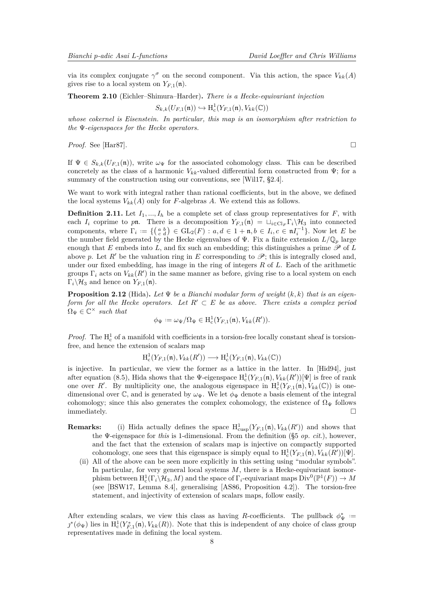<span id="page-7-0"></span>via its complex conjugate  $\gamma^{\sigma}$  on the second component. Via this action, the space  $V_{kk}(A)$ gives rise to a local system on  $Y_{F,1}(\mathfrak{n})$ .

**Theorem 2.10** (Eichler–Shimura–Harder)**.** *There is a Hecke-equivariant injection*

$$
S_{k,k}(U_{F,1}(\mathfrak{n})) \hookrightarrow \mathrm{H}^1_c(Y_{F,1}(\mathfrak{n}),V_{kk}(\mathbb{C}))
$$

*whose cokernel is Eisenstein. In particular, this map is an isomorphism after restriction to the* Ψ*-eigenspaces for the Hecke operators.*

*Proof.* See [\[Har87\]](#page-23-7).

If  $\Psi \in S_{k,k}(U_{F,1}(\mathfrak{n}))$ , write  $\omega_{\Psi}$  for the associated cohomology class. This can be described concretely as the class of a harmonic  $V_{kk}$ -valued differential form constructed from  $\Psi$ ; for a summary of the construction using our conventions, see [\[Wil17,](#page-23-4) §2.4].

We want to work with integral rather than rational coefficients, but in the above, we defined the local systems  $V_{kk}(A)$  only for *F*-algebras *A*. We extend this as follows.

**Definition 2.11.** Let  $I_1, ..., I_h$  be a complete set of class group representatives for  $F$ , with each  $I_i$  coprime to pn. There is a decomposition  $Y_{F,1}(\mathfrak{n}) = \bigcup_{i \in \text{Cl}_F} \Gamma_i \setminus \mathcal{H}_3$  into connected components, where  $\Gamma_i := \{ \begin{pmatrix} a & b \\ c & d \end{pmatrix} \in GL_2(F) : a, d \in 1 + \mathfrak{n}, b \in I_i, c \in \mathfrak{n}I_i^{-1} \}$ . Now let *E* be the number field generated by the Hecke eigenvalues of  $\Psi$ . Fix a finite extension  $L/\mathbb{Q}_p$  large enough that  $E$  embeds into  $L$ , and fix such an embedding; this distinguishes a prime  $\mathscr P$  of  $L$ above p. Let  $R'$  be the valuation ring in E corresponding to  $\mathscr{P}$ ; this is integrally closed and, under our fixed embedding, has image in the ring of integers *R* of *L*. Each of the arithmetic groups  $\Gamma_i$  acts on  $V_{kk}(R')$  in the same manner as before, giving rise to a local system on each  $\Gamma_i \backslash \mathcal{H}_3$  and hence on  $Y_{F,1}(\mathfrak{n})$ .

**Proposition 2.12** (Hida). Let  $\Psi$  be a Bianchi modular form of weight  $(k, k)$  that is an eigen*form for all the Hecke operators. Let*  $R' \subset E$  *be as above. There exists a complex period*  $\Omega_{\Psi} \in \mathbb{C}^{\times}$  such that

$$
\phi_{\Psi} := \omega_{\Psi}/\Omega_{\Psi} \in \mathrm{H}^{1}_{\mathrm{c}}(Y_{F,1}(\mathfrak{n}), V_{kk}(R')).
$$

*Proof.* The  $H_c^1$  of a manifold with coefficients in a torsion-free locally constant sheaf is torsionfree, and hence the extension of scalars map

 $H_c^1(Y_{F,1}(\mathfrak{n}), V_{kk}(R')) \longrightarrow H_c^1(Y_{F,1}(\mathfrak{n}), V_{kk}(\mathbb{C}))$ 

is injective. In particular, we view the former as a lattice in the latter. In [\[Hid94\]](#page-23-8), just after equation (8.5), Hida shows that the  $\Psi$ -eigenspace  $H_c^1(Y_{F,1}(\mathfrak{n}), V_{kk}(R'))[\Psi]$  is free of rank one over R'. By multiplicity one, the analogous eigenspace in  $H_c^1(Y_{F,1}(\mathfrak{n}), V_{kk}(\mathbb{C}))$  is onedimensional over C, and is generated by  $\omega_{\Psi}$ . We let  $\phi_{\Psi}$  denote a basis element of the integral cohomology; since this also generates the complex cohomology, the existence of  $\Omega_{\Psi}$  follows immediately.  $\square$ 

- **Remarks:** (i) Hida actually defines the space  $H^1_{\text{cusp}}(Y_{F,1}(\mathfrak{n}), V_{kk}(R'))$  and shows that the Ψ-eigenspace for *this* is 1-dimensional. From the definition (§5 *op. cit*.), however, and the fact that the extension of scalars map is injective on compactly supported cohomology, one sees that this eigenspace is simply equal to  $H_c^1(Y_{F,1}(\mathfrak{n}), V_{kk}(R'))[\Psi]$ .
	- (ii) All of the above can be seen more explicitly in this setting using "modular symbols". In particular, for very general local systems *M*, there is a Hecke-equivariant isomorphism between  $H_c^1(\Gamma_i \backslash \mathcal{H}_3, M)$  and the space of  $\Gamma_i$ -equivariant maps  $\text{Div}^0(\mathbb{P}^1(F)) \to M$ (see [\[BSW17,](#page-23-9) Lemma 8.4], generalising [\[AS86,](#page-23-10) Proposition 4.2]). The torsion-free statement, and injectivity of extension of scalars maps, follow easily.

After extending scalars, we view this class as having *R*-coefficients. The pullback  $\phi^*_{\Psi}$  =  $j^*(\phi_{\Psi})$  lies in  $H_c^1(Y_{F,1}^*(\mathfrak{n}), V_{kk}(R))$ . Note that this is independent of any choice of class group representatives made in defining the local system.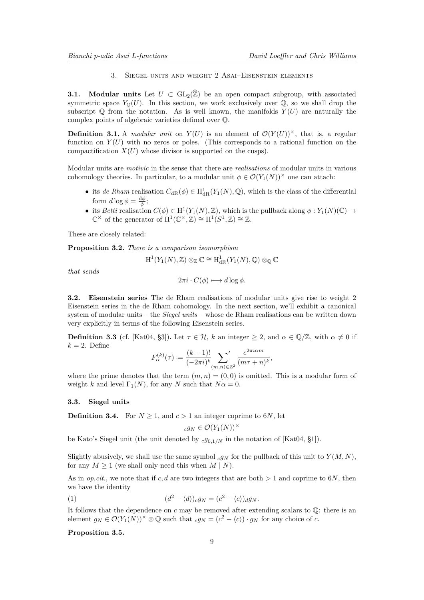3. Siegel units and weight 2 Asai–Eisenstein elements

<span id="page-8-2"></span>**3.1.** Modular units Let  $U \subset GL_2(\hat{\mathbb{Z}})$  be an open compact subgroup, with associated symmetric space  $Y_0(U)$ . In this section, we work exclusively over  $\mathbb{Q}$ , so we shall drop the subscript  $\mathbb Q$  from the notation. As is well known, the manifolds  $Y(U)$  are naturally the complex points of algebraic varieties defined over Q.

**Definition 3.1.** A *modular unit* on  $Y(U)$  is an element of  $\mathcal{O}(Y(U))^{\times}$ , that is, a regular function on  $Y(U)$  with no zeros or poles. (This corresponds to a rational function on the compactification  $X(U)$  whose divisor is supported on the cusps).

Modular units are *motivic* in the sense that there are *realisations* of modular units in various cohomology theories. In particular, to a modular unit  $\phi \in \mathcal{O}(Y_1(N))^{\times}$  one can attach:

- its *de Rham* realisation  $C_{dR}(\phi) \in H^1_{dR}(Y_1(N), \mathbb{Q})$ , which is the class of the differential form  $d \log \phi = \frac{d \phi}{\phi}$ ;
- its *Betti* realisation  $C(\phi) \in H^1(Y_1(N), \mathbb{Z})$ , which is the pullback along  $\phi: Y_1(N)(\mathbb{C}) \to$  $\mathbb{C}^{\times}$  of the generator of  $H^{1}(\mathbb{C}^{\times}, \mathbb{Z}) \cong H^{1}(S^{1}, \mathbb{Z}) \cong \mathbb{Z}$ .

These are closely related:

**Proposition 3.2.** *There is a comparison isomorphism*

H

$$
\mathrm{H}^1(Y_1(N),\mathbb{Z})\otimes_{\mathbb{Z}}\mathbb{C}\cong \mathrm{H}^1_{\mathrm{dR}}(Y_1(N),\mathbb{Q})\otimes_{\mathbb{Q}}\mathbb{C}
$$

*that sends*

$$
2\pi i \cdot C(\phi) \longmapsto d\log \phi.
$$

**3.2. Eisenstein series** The de Rham realisations of modular units give rise to weight 2 Eisenstein series in the de Rham cohomology. In the next section, we'll exhibit a canonical system of modular units – the *Siegel units* – whose de Rham realisations can be written down very explicitly in terms of the following Eisenstein series.

**Definition 3.3** (cf. [\[Kat04,](#page-23-11) §3]). Let  $\tau \in \mathcal{H}$ , *k* an integer  $\geq 2$ , and  $\alpha \in \mathbb{Q}/\mathbb{Z}$ , with  $\alpha \neq 0$  if  $k = 2$ . Define

$$
F_{\alpha}^{(k)}(\tau) := \frac{(k-1)!}{(-2\pi i)^k} \sum_{(m,n)\in\mathbb{Z}^2} \frac{e^{2\pi i \alpha m}}{(m\tau + n)^k},
$$

where the prime denotes that the term  $(m, n) = (0, 0)$  is omitted. This is a modular form of weight *k* and level  $\Gamma_1(N)$ , for any *N* such that  $N\alpha = 0$ .

## **3.3. Siegel units**

**Definition 3.4.** For  $N \geq 1$ , and  $c > 1$  an integer coprime to 6*N*, let

<span id="page-8-1"></span>
$$
_c g_N \in \mathcal{O}(Y_1(N))^\times
$$

be Kato's Siegel unit (the unit denoted by  $c g_{0,1/N}$  in the notation of [\[Kat04,](#page-23-11) §1]).

Slightly abusively, we shall use the same symbol  $c g_N$  for the pullback of this unit to  $Y(M, N)$ , for any  $M \geq 1$  (we shall only need this when  $M \mid N$ ).

As in *op.cit.*, we note that if *c, d* are two integers that are both *>* 1 and coprime to 6*N*, then we have the identity

(1) 
$$
(d^2 - \langle d \rangle)_c g_N = (c^2 - \langle c \rangle)_d g_N.
$$

It follows that the dependence on  $c$  may be removed after extending scalars to  $\mathbb{Q}$ : there is an element  $g_N \in \mathcal{O}(Y_1(N))^{\times} \otimes \mathbb{Q}$  such that  ${}_{c}g_N = (c^2 - \langle c \rangle) \cdot g_N$  for any choice of *c*.

### <span id="page-8-0"></span>**Proposition 3.5.**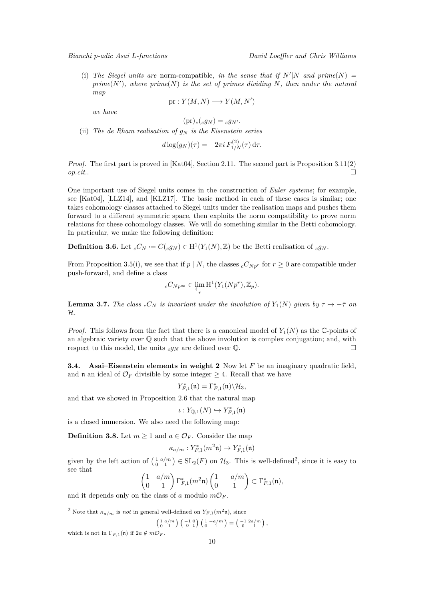<span id="page-9-2"></span>(i) The Siegel units are norm-compatible, in the sense that if  $N'|N$  and  $prime(N)$  =  $prime(N')$ , where  $prime(N)$  *is the set of primes dividing N*, then under the natural *map*

$$
pr: Y(M, N) \longrightarrow Y(M, N')
$$

*we have*

$$
(\mathrm{pr})_*({}_c g_N)={}_c g_{N'}.
$$

(ii) The de Rham realisation of  $q_N$  is the Eisenstein series

$$
d\log(g_N)(\tau) = -2\pi i \, F_{1/N}^{(2)}(\tau) \, \mathrm{d}\tau.
$$

*Proof.* The first part is proved in [\[Kat04\]](#page-23-11), Section 2.11. The second part is Proposition 3.11(2) *op.cit.*.

One important use of Siegel units comes in the construction of *Euler systems*; for example, see [\[Kat04\]](#page-23-11), [\[LLZ14\]](#page-23-1), and [\[KLZ17\]](#page-23-6). The basic method in each of these cases is similar; one takes cohomology classes attached to Siegel units under the realisation maps and pushes them forward to a different symmetric space, then exploits the norm compatibility to prove norm relations for these cohomology classes. We will do something similar in the Betti cohomology. In particular, we make the following definition:

**Definition 3.6.** Let  $_cC_N := C(c g_N) \in H^1(Y_1(N), \mathbb{Z})$  be the Betti realisation of  $_c g_N$ .

From Proposition [3.5\(](#page-8-0)i), we see that if  $p \mid N$ , the classes  $cC_{Np^r}$  for  $r \geq 0$  are compatible under push-forward, and define a class

$$
{}_{c}C_{Np^{\infty}} \in \varprojlim_{r} \mathrm{H}^{1}(Y_{1}(Np^{r}), \mathbb{Z}_{p}).
$$

<span id="page-9-1"></span>**Lemma 3.7.** *The class*  ${}_{c}C_{N}$  *is invariant under the involution of*  $Y_1(N)$  *given by*  $\tau \mapsto -\bar{\tau}$  *on* H*.*

*Proof.* This follows from the fact that there is a canonical model of  $Y_1(N)$  as the C-points of an algebraic variety over  $\mathbb Q$  such that the above involution is complex conjugation; and, with respect to this model, the units  $c g_N$  are defined over  $\mathbb{Q}$ .

**3.4. Asai–Eisenstein elements in weight 2** Now let *F* be an imaginary quadratic field, and **n** an ideal of  $\mathcal{O}_F$  divisible by some integer  $\geq 4$ . Recall that we have

$$
Y_{F,1}^*(\mathfrak{n}) = \Gamma_{F,1}^*(\mathfrak{n}) \backslash \mathcal{H}_3,
$$

and that we showed in Proposition [2.6](#page-4-0) that the natural map

$$
\iota:Y_{\mathbb{Q},1}(N)\hookrightarrow Y^*_{F,1}(\mathfrak{n})
$$

is a closed immersion. We also need the following map:

**Definition 3.8.** Let  $m \geq 1$  and  $a \in \mathcal{O}_F$ . Consider the map

$$
\kappa_{a/m}:Y_{F,1}^*(m^2\mathfrak{n})\to Y_{F,1}^*(\mathfrak{n})
$$

given by the left action of  $\left(\begin{smallmatrix} 1 & a/m \\ 0 & 1 \end{smallmatrix}\right) \in SL_2(F)$  $\left(\begin{smallmatrix} 1 & a/m \\ 0 & 1 \end{smallmatrix}\right) \in SL_2(F)$  $\left(\begin{smallmatrix} 1 & a/m \\ 0 & 1 \end{smallmatrix}\right) \in SL_2(F)$  on  $\mathcal{H}_3$ . This is well-defined<sup>2</sup>, since it is easy to see that

$$
\begin{pmatrix} 1 & a/m \\ 0 & 1 \end{pmatrix} \Gamma_{F,1}^*(m^2 \mathfrak{n}) \begin{pmatrix} 1 & -a/m \\ 0 & 1 \end{pmatrix} \subset \Gamma_{F,1}^*(\mathfrak{n}),
$$

and it depends only on the class of *a* modulo  $m\mathcal{O}_F$ .

<span id="page-9-0"></span><sup>2</sup> Note that  $\kappa_{a/m}$  is *not* in general well-defined on  $Y_{F,1}(m^2\mathfrak{n})$ , since

$$
\begin{pmatrix} 1 & a/m \\ 0 & 1 \end{pmatrix} \begin{pmatrix} -1 & 0 \\ 0 & 1 \end{pmatrix} \begin{pmatrix} 1 & -a/m \\ 0 & 1 \end{pmatrix} = \begin{pmatrix} -1 & 2a/m \\ 0 & 1 \end{pmatrix},
$$

which is not in  $\Gamma_{F,1}(\mathfrak{n})$  if  $2a \notin m\mathcal{O}_F$ .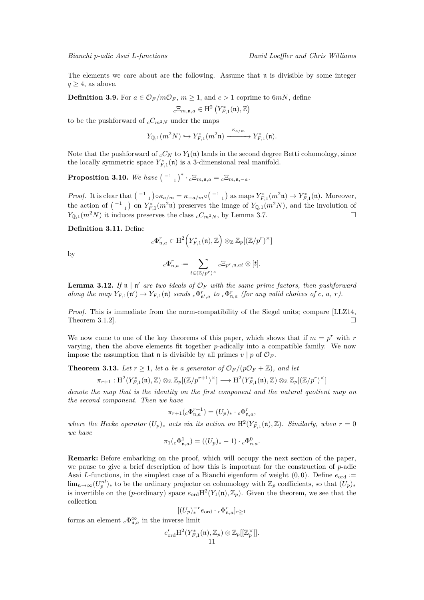<span id="page-10-3"></span>The elements we care about are the following. Assume that  $\mathfrak n$  is divisible by some integer  $q > 4$ , as above.

**Definition 3.9.** For  $a \in \mathcal{O}_F/m\mathcal{O}_F$ ,  $m \geq 1$ , and  $c > 1$  coprime to 6*mN*, define  $_c \Xi_{m,\mathfrak{n},a} \in \mathrm{H}^2 \left( Y_{F,1}^*(\mathfrak{n}), \mathbb{Z} \right)$ 

to be the pushforward of  $_cC_{m^2N}$  under the maps

$$
Y_{\mathbb Q,1}(m^2N)\hookrightarrow Y^*_{F,1}(m^2\mathfrak n)\xrightarrow{\kappa_{a/m}} Y^*_{F,1}(\mathfrak n).
$$

Note that the pushforward of  $_cC_N$  to  $Y_1(\mathfrak{n})$  lands in the second degree Betti cohomology, since the locally symmetric space  $Y_{F,1}^*(\mathfrak{n})$  is a 3-dimensional real manifold.

<span id="page-10-2"></span>**Proposition 3.10.** We have  $(-1)^* \cdot c \Xi_{m,n,a} = c \Xi_{m,n,-a}$ .

*Proof.* It is clear that  ${-1 \choose 1} \circ \kappa_{a/m} = \kappa_{-a/m} \circ {\binom{-1}{1}}$  as maps  $Y_{F,1}^*(m^2 \mathfrak{n}) \to Y_{F,1}^*(\mathfrak{n})$ . Moreover, the action of  ${-1 \choose 1}$  on  $Y_{F,1}^*(m^2\mathfrak{n})$  preserves the image of  $Y_{\mathbb{Q},1}(m^2N)$ , and the involution of  $Y_{\mathbb{O},1}(m^2N)$  it induces preserves the class  $cC_{m^2N}$ , by Lemma [3.7.](#page-9-1)

**Definition 3.11.** Define

$$
{}_{c}\Phi_{\mathfrak{n},a}^r \in \mathrm{H}^2\Big(Y_{F,1}^*(\mathfrak{n}),\mathbb{Z}\Big) \otimes_{\mathbb{Z}} \mathbb{Z}_p[(\mathbb{Z}/p^r)^{\times}]
$$

by

$$
{_c\Phi_{\mathfrak{n},a}^{r}}:=\sum_{t\in(\mathbb{Z}/p^r)^{\times}}{_{c}\Xi_{p^r,\mathfrak{n},at}}\otimes[t].
$$

<span id="page-10-1"></span>**Lemma 3.12.** If  $\mathfrak{n} \mid \mathfrak{n}'$  are two ideals of  $\mathcal{O}_F$  with the same prime factors, then pushforward along the map  $Y_{F,1}(\mathfrak{n}') \to Y_{F,1}(\mathfrak{n})$  sends  ${}_{c}\Phi_{\mathfrak{n}',a}^{r}$  to  ${}_{c}\Phi_{\mathfrak{n},a}^{r}$  (for any valid choices of c, a, r).

*Proof.* This is immediate from the norm-compatibility of the Siegel units; compare [\[LLZ14,](#page-23-1) Theorem 3.1.2].

We now come to one of the key theorems of this paper, which shows that if  $m = p^r$  with  $r$ varying, then the above elements fit together *p*-adically into a compatible family. We now impose the assumption that **n** is divisible by all primes  $v \mid p$  of  $\mathcal{O}_F$ .

<span id="page-10-0"></span>**Theorem 3.13.** Let  $r \geq 1$ , let a be a generator of  $\mathcal{O}_F/(p\mathcal{O}_F + \mathbb{Z})$ , and let

$$
\pi_{r+1}: \mathrm{H}^{2}(Y_{F,1}^{*}(\mathfrak{n}), \mathbb{Z}) \otimes_{\mathbb{Z}} \mathbb{Z}_{p}[(\mathbb{Z}/p^{r+1})^{\times}] \longrightarrow \mathrm{H}^{2}(Y_{F,1}^{*}(\mathfrak{n}), \mathbb{Z}) \otimes_{\mathbb{Z}} \mathbb{Z}_{p}[(\mathbb{Z}/p^{r})^{\times}]
$$

*denote the map that is the identity on the first component and the natural quotient map on the second component. Then we have*

$$
\pi_{r+1}(c\Phi_{\mathfrak{n},a}^{r+1}) = (U_p)_* \cdot c\Phi_{\mathfrak{n},a}^r,
$$

*where the Hecke operator*  $(U_p)_*$  *acts via its action on*  $H^2(Y_{F,1}^*(\mathfrak{n}), \mathbb{Z})$ *. Similarly, when*  $r = 0$ *we have*

$$
\pi_1({}_c\Phi_{\mathfrak{n},a}^1) = ((U_p)_* - 1) \cdot {}_c\Phi_{\mathfrak{n},a}^0.
$$

**Remark:** Before embarking on the proof, which will occupy the next section of the paper, we pause to give a brief description of how this is important for the construction of *p*-adic Asai *L*-functions, in the simplest case of a Bianchi eigenform of weight  $(0,0)$ . Define  $e_{\text{ord}} =$  $\lim_{n\to\infty}(U_p^{n!})_*$  to be the ordinary projector on cohomology with  $\mathbb{Z}_p$  coefficients, so that  $(U_p)_*$ is invertible on the (*p*-ordinary) space  $e_{ord}H^2(Y_1(\mathfrak{n}), \mathbb{Z}_p)$ . Given the theorem, we see that the collection

$$
[(U_p)^{-r}_* e_{\text{ord}} \cdot {}_c \Phi_{\mathfrak{n},a}^r]_{r \geq 1}
$$

forms an element  ${}_{c}\Phi_{\mathfrak{n},a}^{\infty}$  in the inverse limit

$$
e'_{\mathrm{ord}}\mathrm{H}^2(Y_{F,1}^*(\mathfrak{n}),\mathbb{Z}_p)\otimes \mathbb{Z}_p[[\mathbb{Z}_p^\times]].
$$
  
11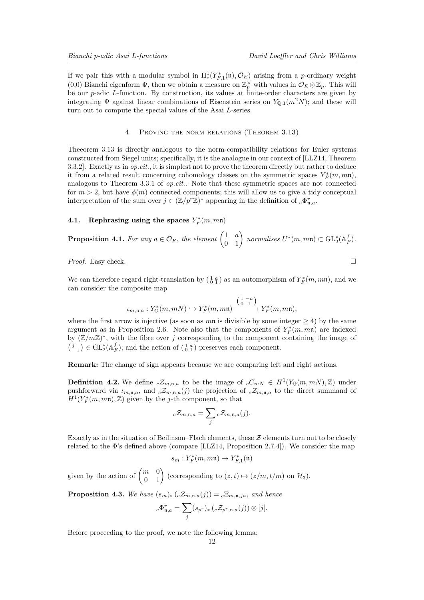<span id="page-11-1"></span>If we pair this with a modular symbol in  $H_c^1(Y_{F,1}^*(\mathfrak{n}), \mathcal{O}_E)$  arising from a *p*-ordinary weight (0,0) Bianchi eigenform  $\Psi$ , then we obtain a measure on  $\mathbb{Z}_p^{\times}$  with values in  $\mathcal{O}_E \otimes \mathbb{Z}_p$ . This will be our *p*-adic *L*-function. By construction, its values at finite-order characters are given by integrating  $\Psi$  against linear combinations of Eisenstein series on  $Y_{\mathbb{Q},1}(m^2N)$ ; and these will turn out to compute the special values of the Asai *L*-series.

### 4. Proving the norm relations (Theorem [3.13\)](#page-10-0)

Theeorem [3.13](#page-10-0) is directly analogous to the norm-compatibility relations for Euler systems constructed from Siegel units; specifically, it is the analogue in our context of [\[LLZ14,](#page-23-1) Theorem 3.3.2]. Exactly as in *op.cit.*, it is simplest not to prove the theorem directly but rather to deduce it from a related result concerning cohomology classes on the symmetric spaces  $Y_F^*(m, m\mathfrak{n})$ , analogous to Theorem 3.3.1 of *op.cit.*. Note that these symmetric spaces are not connected for  $m > 2$ , but have  $\phi(m)$  connected components; this will allow us to give a tidy conceptual interpretation of the sum over  $j \in (\mathbb{Z}/p^r\mathbb{Z})^*$  appearing in the definition of  ${}_{c}\Phi_{\mathfrak{n},a}^r$ .

# **4.1.** Rephrasing using the spaces  $Y_F^*(m, mn)$

**Proposition 4.1.** For any  $a \in \mathcal{O}_F$ , the element  $\begin{pmatrix} 1 & a \\ 0 & 1 \end{pmatrix}$  normalises  $U^*(m,m\mathfrak{n}) \subset \mathrm{GL}_2^*(\mathbb{A}_F^f)$ .

*Proof.* Easy check. □

We can therefore regard right-translation by  $\left(\begin{smallmatrix} 1 & a \\ 0 & 1 \end{smallmatrix}\right)$  as an automorphism of  $Y_F^*(m, m\mathfrak{n})$ , and we can consider the composite map

$$
\iota_{m,\mathfrak{n},a}:Y_{{\mathbb Q}}^*(m,mN)\hookrightarrow Y_F^*(m,m\mathfrak{n})\xrightarrow{\left(\begin{smallmatrix}1&-a\\0&1\end{smallmatrix}\right)}Y_F^*(m,m\mathfrak{n}),
$$

where the first arrow is injective (as soon as  $m\mathfrak{n}$  is divisible by some integer  $\geq 4$ ) by the same argument as in Proposition [2.6.](#page-4-0) Note also that the components of  $Y_F^*(m, m\mathfrak{n})$  are indexed by  $(\mathbb{Z}/m\mathbb{Z})^*$ , with the fibre over *j* corresponding to the component containing the image of  $\left( \begin{smallmatrix} j&\\&1 \end{smallmatrix} \right) \in \mathrm{GL}_2^*(\mathbb{A}_F^f);$  and the action of  $\left( \begin{smallmatrix} 1&a\\0&1 \end{smallmatrix} \right)$  preserves each component.

**Remark:** The change of sign appears because we are comparing left and right actions.

**Definition 4.2.** We define  $c\mathcal{Z}_{m,n,a}$  to be the image of  $cC_{mN} \in H^1(Y_{\mathbb{Q}}(m,mN),\mathbb{Z})$  under pushforward via  $\iota_{m,n,a}$ , and  $c\mathcal{Z}_{m,n,a}(j)$  the projection of  $c\mathcal{Z}_{m,n,a}$  to the direct summand of  $H^1(Y_F^*(m, m\mathfrak{n}), \mathbb{Z})$  given by the *j*-th component, so that

$$
{}_{c}\mathcal{Z}_{m,n,a} = \sum_{j} {}_{c}\mathcal{Z}_{m,n,a}(j).
$$

Exactly as in the situation of Beilinson–Flach elements, these  $\mathcal Z$  elements turn out to be closely related to the Φ's defined above (compare [\[LLZ14,](#page-23-1) Proposition 2.7.4]). We consider the map

$$
s_m:Y^*_F(m,m\mathfrak{n})\to Y^*_{F,1}(\mathfrak{n})
$$

given by the action of  $\begin{pmatrix} m & 0 \\ 0 & 1 \end{pmatrix}$  (corresponding to  $(z, t) \mapsto (z/m, t/m)$  on  $\mathcal{H}_3$ ).

<span id="page-11-0"></span>**Proposition 4.3.** *We have*  $(s_m)_*(c\mathcal{Z}_{m,n,a}(j)) = c\mathbb{E}_{m,n,j,a}$ , and hence

$$
{}_{c}\Phi_{\mathfrak{n},a}^{r} = \sum_{j} (s_{p^r})_{*} ({}_{c}\mathcal{Z}_{p^r,\mathfrak{n},a}(j)) \otimes [j].
$$

Before proceeding to the proof, we note the following lemma: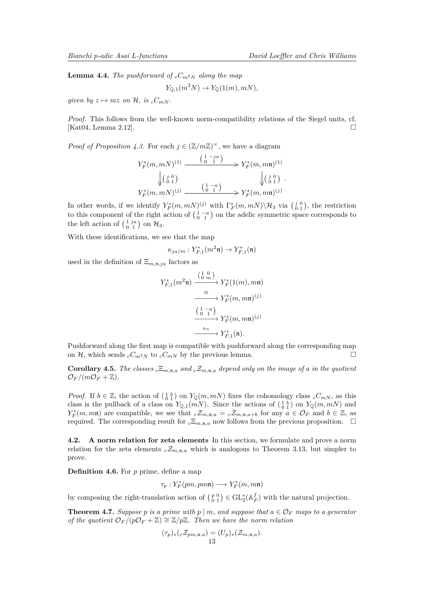<span id="page-12-1"></span>**Lemma 4.4.** *The pushforward of*  $_cC_{m^2N}$  *along the map* 

$$
Y_{\mathbb{Q},1}(m^2N) \to Y_{\mathbb{Q}}(1(m),mN),
$$

*given by*  $z \mapsto mz$  *on*  $\mathcal{H}$ *, is*  $_cC_{mN}$ *.* 

*Proof.* This follows from the well-known norm-compatibility relations of the Siegel units, cf. [\[Kat04,](#page-23-11) Lemma 2.12].

*Proof of Proposition [4.3.](#page-11-0)* For each  $j \in (\mathbb{Z}/m\mathbb{Z})^{\times}$ , we have a diagram

$$
Y_F^*(m, mN)^{(1)} \xrightarrow{\begin{pmatrix} 1 & -ja \\ 0 & 1 \end{pmatrix}} Y_F^*(m, m\mathfrak{n})^{(1)}
$$

$$
\downarrow \begin{pmatrix} j & 0 \\ 0 & 1 \end{pmatrix} \qquad \qquad \downarrow \begin{pmatrix} j & 0 \\ 0 & 1 \end{pmatrix}
$$

$$
Y_F^*(m, mN)^{(j)} \xrightarrow{\begin{pmatrix} 1 & -a \\ 0 & 1 \end{pmatrix}} Y_F^*(m, m\mathfrak{n})^{(j)}
$$

In other words, if we identify  $Y_F^*(m, m)^{(j)}$  with  $\Gamma_F^*(m, m) \setminus \mathcal{H}_3$  via  $\begin{pmatrix} j & 0 \\ 0 & 1 \end{pmatrix}$ , the restriction to this component of the right action of  $\begin{pmatrix} 1 & -a \\ 0 & 1 \end{pmatrix}$  on the adelic symmetric space corresponds to the left action of  $\begin{pmatrix} 1 & ja \\ 0 & 1 \end{pmatrix}$  on  $\mathcal{H}_3$ .

With these identifications, we see that the map

$$
\kappa_{ja/m}: Y_{F,1}^*(m^2\mathfrak{n}) \to Y_{F,1}^*(\mathfrak{n})
$$

used in the definition of  $\Xi_{m,n,ja}$  factors as

$$
Y_{F,1}^*(m^2 \mathfrak{n}) \xrightarrow{\begin{array}{c} \left(\begin{smallmatrix} 1 & 0 \\ 0 & m \end{smallmatrix}\right)} Y_F^*(1(m), mn) \\ \xrightarrow{\cong} Y_F^*(m, mn)^{(j)} \\ \xrightarrow{\begin{array}{c} \left(\begin{smallmatrix} 1 & -a \\ 0 & 1 \end{smallmatrix}\right)} Y_F^*(m, mn)^{(j)} \\ \xrightarrow{s_m} Y_{F,1}^*(\mathfrak{n}). \end{array}
$$

Pushforward along the first map is compatible with pushforward along the corresponding map on H, which sends  $_cC_{m^2N}$  to  $_cC_{mN}$  by the previous lemma.

**Corollary 4.5.** *The classes*  $c^{\Sigma_{m,n,a}}$  *and*  $c^{\Sigma_{m,n,a}}$  *depend only on the image of a in the quotient*  $\mathcal{O}_F/(m\mathcal{O}_F + \mathbb{Z}).$ 

*Proof.* If  $b \in \mathbb{Z}$ , the action of  $\begin{pmatrix} 1 & b \\ 0 & 1 \end{pmatrix}$  on  $Y_{\mathbb{Q}}(m, mN)$  fixes the cohomology class  $cC_{mN}$ , as this class is the pullback of a class on  $Y_{\mathbb{Q},1}(m)$ . Since the actions of  $\left(\begin{smallmatrix}1 & b \\ 0 & 1\end{smallmatrix}\right)$  on  $Y_{\mathbb{Q}}(m,m)$  and  $Y_F^*(m, m\mathfrak{n})$  are compatible, we see that  $c\mathcal{Z}_{m,\mathfrak{n},a} = c\mathcal{Z}_{m,\mathfrak{n},a+b}$  for any  $a \in \mathcal{O}_F$  and  $b \in \mathbb{Z}$ , as required. The corresponding result for  $c \Xi_{m,n,a}$  now follows from the previous proposition.  $\square$ 

**4.2. A norm relation for zeta elements** In this section, we formulate and prove a norm relation for the zeta elements  $cZ_{m,n,a}$  which is analogous to Theorem [3.13,](#page-10-0) but simpler to prove.

**Definition 4.6.** For *p* prime, define a map

$$
\tau_p: Y^*_F(pm, pm\mathfrak{n}) \longrightarrow Y^*_F(m, m\mathfrak{n})
$$

by composing the right-translation action of  $\binom{p}{0\ 1} \in GL_2^*(\mathbb{A}_F^f)$  with the natural projection.

<span id="page-12-0"></span>**Theorem 4.7.** *Suppose p is a prime with*  $p \mid m$ *, and suppose that*  $a \in \mathcal{O}_F$  *maps to a generator of the quotient*  $\mathcal{O}_F/(p\mathcal{O}_F + \mathbb{Z}) \cong \mathbb{Z}/p\mathbb{Z}$ *. Then we have the norm relation* 

$$
(\tau_p)_*(c\mathcal{Z}_{pm,n,a}) = (U_p)_*(\mathcal{Z}_{m,n,a}).
$$
  
13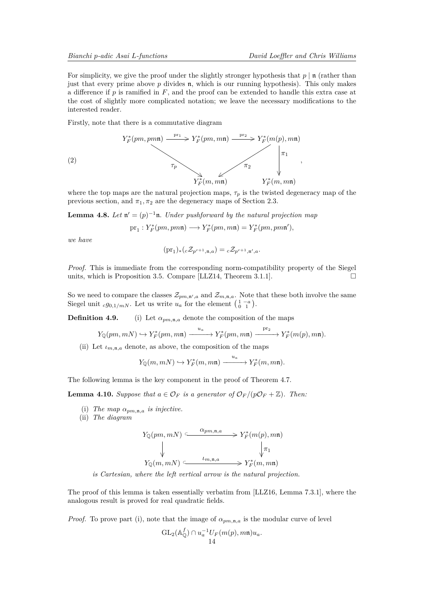<span id="page-13-3"></span>For simplicity, we give the proof under the slightly stronger hypothesis that  $p | n$  (rather than just that every prime above *p* divides n, which is our running hypothesis). This only makes a difference if *p* is ramified in *F*, and the proof can be extended to handle this extra case at the cost of slightly more complicated notation; we leave the necessary modifications to the interested reader.

Firstly, note that there is a commutative diagram

<span id="page-13-2"></span>(2)  

$$
Y_F^*(pm,pmn) \xrightarrow{\text{pr}_1} Y_F^*(pm,mn) \xrightarrow{\text{pr}_2} Y_F^*(m(p),mn)
$$

$$
\tau_P \longrightarrow \tau_T \qquad \qquad \downarrow \tau_1
$$

$$
Y_F^*(m,mn) \qquad Y_F^*(m,mn)
$$

where the top maps are the natural projection maps,  $\tau_p$  is the twisted degeneracy map of the previous section, and  $\pi_1, \pi_2$  are the degeneracy maps of Section [2.3.](#page-5-0)

<span id="page-13-1"></span>**Lemma 4.8.** *Let*  $\mathfrak{n}' = (p)^{-1}\mathfrak{n}$ *. Under pushforward by the natural projection map* 

$$
\mathrm{pr}_1: Y^*_F(pm, pm\mathfrak{n}) \longrightarrow Y^*_F(pm, m\mathfrak{n}) = Y^*_F(pm, pm\mathfrak{n}'),
$$

*we have*

$$
(\mathrm{pr}_1)_*(c\mathcal{Z}_{p^{r+1},\mathfrak{n},a}) = c\mathcal{Z}_{p^{r+1},\mathfrak{n}',a}.
$$

*Proof.* This is immediate from the corresponding norm-compatibility property of the Siegel units, which is Proposition [3.5.](#page-8-0) Compare [\[LLZ14,](#page-23-1) Theorem 3.1.1].  $\Box$ 

So we need to compare the classes  $\mathcal{Z}_{pm,n}$ <sub>*n*</sub>,*a* and  $\mathcal{Z}_{m,n,a}$ . Note that these both involve the same Siegel unit  $_c g_{0,1/mN}$ . Let us write  $u_a$  for the element  $\begin{pmatrix} 1 & -a \\ 0 & 1 \end{pmatrix}$ .

**Definition 4.9.** (i) Let  $\alpha_{pm,n,a}$  denote the composition of the maps

$$
Y_{\mathbb{Q}}(pm, mN) \hookrightarrow Y^*_{F}(pm, mn) \xrightarrow{u_a} Y^*_{F}(pm, mn) \xrightarrow{pr_2} Y^*_{F}(m(p), mn).
$$

(ii) Let  $\iota_{m,n,a}$  denote, as above, the composition of the maps

$$
Y_{\mathbb{Q}}(m,mN) \hookrightarrow Y^*_{F}(m,m\mathfrak{n}) \xrightarrow{\phantom{a\mathfrak{n}} u_a} Y^*_{F}(m,m\mathfrak{n}).
$$

The following lemma is the key component in the proof of Theorem [4.7.](#page-12-0)

<span id="page-13-0"></span>**Lemma 4.10.** *Suppose that*  $a \in \mathcal{O}_F$  *is a generator of*  $\mathcal{O}_F$ /( $p\mathcal{O}_F + \mathbb{Z}$ ). Then:

- (i) *The map*  $\alpha_{pm,n,a}$  *is injective.*
- (ii) *The diagram*

$$
Y_{\mathbb{Q}}(pm, mN) \xrightarrow{\alpha_{pm, \mathfrak{n}, a}} Y_F^*(m(p), m\mathfrak{n})
$$
  
\n
$$
\downarrow_{\pi_1}
$$
  
\n
$$
Y_{\mathbb{Q}}(m, mN) \xrightarrow{\iota_{m, \mathfrak{n}, a}} Y_F^*(m, m\mathfrak{n})
$$

*is Cartesian, where the left vertical arrow is the natural projection.*

The proof of this lemma is taken essentially verbatim from [\[LLZ16,](#page-23-2) Lemma 7.3.1], where the analogous result is proved for real quadratic fields.

*Proof.* To prove part (i), note that the image of  $\alpha_{pm,n,a}$  is the modular curve of level

$$
GL_2(\mathbb{A}_{\mathbb{Q}}^f) \cap u_a^{-1}U_F(m(p), m\mathfrak{n})u_a.
$$
  
14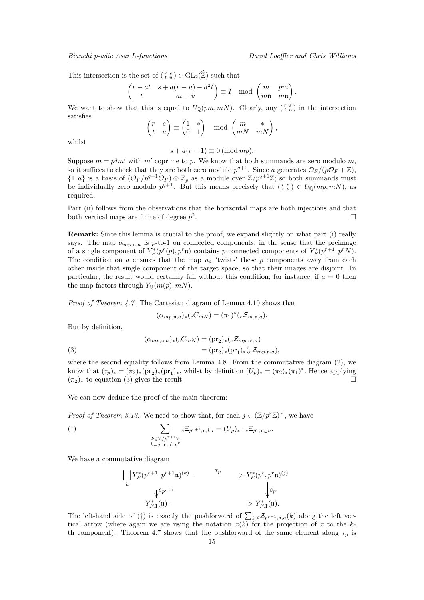This intersection is the set of  $(\begin{smallmatrix} r & s \\ t & u \end{smallmatrix}) \in GL_2(\widehat{\mathbb{Z}})$  such that

$$
\begin{pmatrix} r - at & s + a(r - u) - a^2 t \\ t & at + u \end{pmatrix} \equiv I \mod \begin{pmatrix} m & pm \\ m\mathbf{n} & m\mathbf{n} \end{pmatrix}.
$$

We want to show that this is equal to  $U_{\mathbb{Q}}(pm, mN)$ . Clearly, any  $\binom{r}{t-u}$  in the intersection satisfies

$$
\begin{pmatrix} r & s \\ t & u \end{pmatrix} \equiv \begin{pmatrix} 1 & * \\ 0 & 1 \end{pmatrix} \mod \begin{pmatrix} m & * \\ mN & mN \end{pmatrix},
$$

whilst

 $s + a(r - 1) \equiv 0 \pmod{mp}$ .

Suppose  $m = p^q m'$  with  $m'$  coprime to p. We know that both summands are zero modulo m, so it suffices to check that they are both zero modulo  $p^{q+1}$ . Since a generates  $\mathcal{O}_F/(p\mathcal{O}_F+\mathbb{Z})$ ,  $\{1,a\}$  is a basis of  $(\mathcal{O}_F/p^{q+1}\mathcal{O}_F) \otimes \mathbb{Z}_p$  as a module over  $\mathbb{Z}/p^{q+1}\mathbb{Z}$ ; so both summands must be individually zero modulo  $p^{q+1}$ . But this means precisely that  $\binom{r}{t} \in U_{\mathbb{Q}}(mp, mN)$ , as required.

Part (ii) follows from the observations that the horizontal maps are both injections and that both vertical maps are finite of degree *p* 2 .

**Remark:** Since this lemma is crucial to the proof, we expand slightly on what part (i) really says. The map  $\alpha_{mp,n,a}$  is p-to-1 on connected components, in the sense that the preimage of a single component of  $Y_F^*(p^r(p), p^r\mathfrak{n})$  contains *p* connected components of  $Y_F^*(p^{r+1}, p^rN)$ . The condition on *a* ensures that the map *u<sup>a</sup>* 'twists' these *p* components away from each other inside that single component of the target space, so that their images are disjoint. In particular, the result would certainly fail without this condition; for instance, if *a* = 0 then the map factors through  $Y_0(m(p), mN)$ .

*Proof of Theorem [4.7.](#page-12-0)* The Cartesian diagram of Lemma [4.10](#page-13-0) shows that

$$
(\alpha_{mp,\mathfrak{n},a})_*({}_cC_{mN})=(\pi_1)^*({}_c\mathcal{Z}_{m,\mathfrak{n},a}).
$$

But by definition,

<span id="page-14-0"></span>(3) 
$$
(\alpha_{mp,n,a})_*(cC_{mN}) = (\text{pr}_2)_*(c\mathcal{Z}_{mp,n',a})
$$

$$
= (\text{pr}_2)_*(\text{pr}_1)_*(c\mathcal{Z}_{mp,n,a}),
$$

where the second equality follows from Lemma [4.8.](#page-13-1) From the commutative diagram  $(2)$ , we know that  $(\tau_p)_* = (\pi_2)_*(\text{pr}_2)_*(\text{pr}_1)_*,$  whilst by definition  $(U_p)_* = (\pi_2)_*(\pi_1)^*$ . Hence applying  $(\pi_2)_*$  to equation [\(3\)](#page-14-0) gives the result.

We can now deduce the proof of the main theorem:

*Proof of Theorem [3.13.](#page-10-0)* We need to show that, for each  $j \in (\mathbb{Z}/p^r\mathbb{Z})^{\times}$ , we have

$$
\sum_{\substack{k \in \mathbb{Z}/p^{r+1}\mathbb{Z} \\ k=j \bmod p^r}} c \Xi_{p^{r+1}, \mathfrak{n}, ka} = (U_p)_* \cdot c \Xi_{p^r, \mathfrak{n}, ja}.
$$

We have a commutative diagram

$$
\begin{array}{ccc}\n\bigcup_k Y_F^*(p^{r+1}, p^{r+1}\mathfrak{n})^{(k)} & \xrightarrow{\tau_p} & Y_F^*(p^r, p^r\mathfrak{n})^{(j)} \\
& \qquad \qquad \downarrow^{Sp^{r+1}} & \qquad \qquad \downarrow^{Sp^r} \\
Y_{F,1}^*(\mathfrak{n}) & \xrightarrow{\qquad \qquad} & Y_{F,1}^*(\mathfrak{n}).\n\end{array}
$$

The left-hand side of (†) is exactly the pushforward of  $\sum_k c \mathcal{Z}_{p^{r+1},\mathfrak{n},a}(k)$  along the left vertical arrow (where again we are using the notation  $x(k)$  for the projection of x to the  $k$ -th component). Theorem [4.7](#page-12-0) shows that the pushforward of the same element along  $\tau_p$  is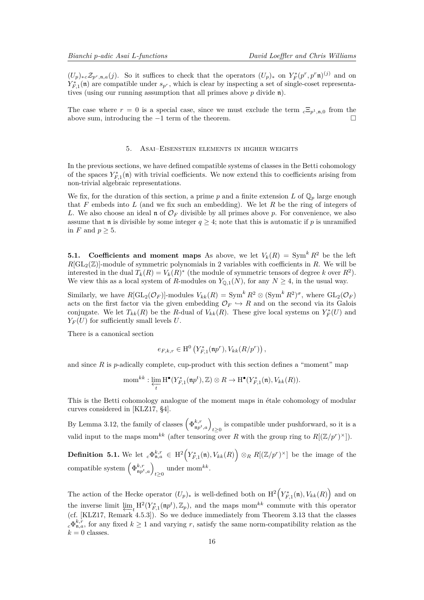<span id="page-15-0"></span> $(U_p)_{*c}\mathcal{Z}_{p^r,\mathfrak{n},a}(j)$ . So it suffices to check that the operators  $(U_p)_{*}$  on  $Y_F^*(p^r,p^r\mathfrak{n})^{(j)}$  and on  $Y_{F,1}^*(\mathfrak{n})$  are compatible under  $s_{p^r}$ , which is clear by inspecting a set of single-coset representatives (using our running assumption that all primes above *p* divide n).

The case where  $r = 0$  is a special case, since we must exclude the term  $c \Xi_{p^1,n,0}$  from the above sum, introducing the  $-1$  term of the theorem.

#### 5. Asai–Eisenstein elements in higher weights

In the previous sections, we have defined compatible systems of classes in the Betti cohomology of the spaces  $Y_{F,1}^*(\mathfrak{n})$  with trivial coefficients. We now extend this to coefficients arising from non-trivial algebraic representations.

We fix, for the duration of this section, a prime  $p$  and a finite extension  $L$  of  $\mathbb{Q}_p$  large enough that *F* embeds into *L* (and we fix such an embedding). We let *R* be the ring of integers of *L*. We also choose an ideal n of O*<sup>F</sup>* divisible by all primes above *p*. For convenience, we also assume that **n** is divisible by some integer  $q \geq 4$ ; note that this is automatic if p is unramified in  $F$  and  $p > 5$ .

**5.1.** Coefficients and moment maps As above, we let  $V_k(R) = \text{Sym}^k R^2$  be the left  $R[\mathrm{GL}_2(\mathbb{Z})]$ -module of symmetric polynomials in 2 variables with coefficients in R. We will be interested in the dual  $T_k(R) = V_k(R)^*$  (the module of symmetric tensors of degree *k* over  $R^2$ ). We view this as a local system of *R*-modules on  $Y_{\mathbb{Q},1}(N)$ , for any  $N \geq 4$ , in the usual way.

Similarly, we have  $R[\mathrm{GL}_2(\mathcal{O}_F)]$ -modules  $V_{kk}(R) = \mathrm{Sym}^k R^2 \otimes (\mathrm{Sym}^k R^2)^{\sigma}$ , where  $\mathrm{GL}_2(\mathcal{O}_F)$ acts on the first factor via the given embedding  $\mathcal{O}_F \hookrightarrow R$  and on the second via its Galois conjugate. We let  $T_{kk}(R)$  be the *R*-dual of  $V_{kk}(R)$ . These give local systems on  $Y_F^*(U)$  and  $Y_F(U)$  for sufficiently small levels *U*.

There is a canonical section

$$
e_{F,k,r} \in \mathrm{H}^0\left(Y_{F,1}^*(\mathfrak{n}p^r),V_{kk}(R/p^r)\right),
$$

and since  $R$  is  $p$ -adically complete, cup-product with this section defines a "moment" map

$$
\text{mom}^{kk} : \varprojlim_{t} \text{H}^{\bullet}(Y_{F,1}^*(\mathfrak{np}^t), \mathbb{Z}) \otimes R \to \text{H}^{\bullet}(Y_{F,1}^*(\mathfrak{n}), V_{kk}(R)).
$$

This is the Betti cohomology analogue of the moment maps in étale cohomology of modular curves considered in [\[KLZ17,](#page-23-6) §4].

By Lemma [3.12,](#page-10-1) the family of classes  $(\Phi_{np^t,a}^{k,r})_{t\geq 0}$  is compatible under pushforward, so it is a valid input to the maps mom<sup>kk</sup> (after tensoring over R with the group ring to  $R[(\mathbb{Z}/p^r)^{\times}])$ .

**Definition 5.1.** We let  ${}_{c}\Phi_{\mathfrak{n},a}^{k,r} \in H^{2}(Y_{F,1}^{*}(\mathfrak{n}),V_{kk}(R)) \otimes_{R} R[(\mathbb{Z}/p^{r})^{\times}]$  be the image of the  $\text{compatible system } \left( \Phi^{k,r}_{\text{np}^t,a} \right)_{t \geq 0}$  under mom<sup>kk</sup>.

The action of the Hecke operator  $(U_p)_*$  is well-defined both on  $\mathrm{H}^2\Big(Y^*_{F,1}(\mathfrak{n}),V_{kk}(R)\Big)$  and on the inverse limit  $\lim_{x \to a} H^2(Y_{F,1}^*(\mathfrak{np}^t), \mathbb{Z}_p)$ , and the maps mom<sup>kk</sup> commute with this operator (cf. [\[KLZ17,](#page-23-6) Remark 4.5.3]). So we deduce immediately from Theorem [3.13](#page-10-0) that the classes  $c \Phi_{\mathfrak{n},a}^{k,r}$ , for any fixed  $k \geq 1$  and varying *r*, satisfy the same norm-compatibility relation as the  $k = 0$  classes.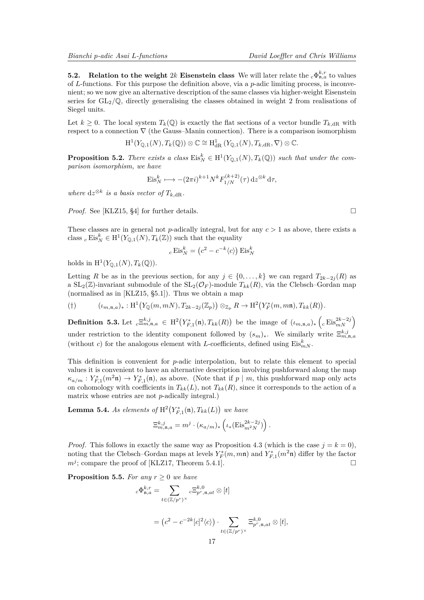<span id="page-16-1"></span>**5.2.** Relation to the weight 2*k* Eisenstein class We will later relate the  $_c \Phi_{\mathfrak{n},a}^{k,r}$  to values of *L*-functions. For this purpose the definition above, via a *p*-adic limiting process, is inconvenient; so we now give an alternative description of the same classes via higher-weight Eisenstein series for  $GL_2/\mathbb{Q}$ , directly generalising the classes obtained in weight 2 from realisations of Siegel units.

Let  $k \geq 0$ . The local system  $T_k(\mathbb{Q})$  is exactly the flat sections of a vector bundle  $T_{k,\text{dR}}$  with respect to a connection  $\nabla$  (the Gauss–Manin connection). There is a comparison isomorphism

$$
\mathrm{H}^{1}(Y_{\mathbb{Q},1}(N), T_{k}(\mathbb{Q})) \otimes \mathbb{C} \cong \mathrm{H}^{1}_{\mathrm{dR}}(Y_{\mathbb{Q},1}(N), T_{k,\mathrm{dR}}, \nabla) \otimes \mathbb{C}.
$$

**Proposition 5.2.** *There exists a class*  $\text{Eis}_N^k \in H^1(Y_{\mathbb{Q},1}(N), T_k(\mathbb{Q}))$  *such that under the comparison isomorphism, we have*

$$
\mathrm{Eis}_N^k \longmapsto -(2\pi i)^{k+1} N^k F_{1/N}^{(k+2)}(\tau) \,\mathrm{d}z^{\otimes k} \,\mathrm{d}\tau,
$$

*where*  $dz^{\otimes k}$  *is a basis vector of*  $T_{k,dR}$ *.* 

*Proof.* See [\[KLZ15,](#page-23-12) §4] for further details. □

These classes are in general not *p*-adically integral, but for any *c >* 1 as above, there exists a class  $c \text{Eis}_N^k \in H^1(Y_{\mathbb{Q},1}(N), T_k(\mathbb{Z}))$  such that the equality

$$
{}_c\operatorname{Eis}^k_N = \left(c^2 - c^{-k} \langle c \rangle\right) \operatorname{Eis}^k_N
$$

holds in  $H^1(Y_{\mathbb{Q},1}(N), T_k(\mathbb{Q}))$ .

Letting *R* be as in the previous section, for any  $j \in \{0, \ldots, k\}$  we can regard  $T_{2k-2j}(R)$  as a  $SL_2(\mathbb{Z})$ -invariant submodule of the  $SL_2(\mathcal{O}_F)$ -module  $T_{kk}(R)$ , via the Clebsch–Gordan map (normalised as in [\[KLZ15,](#page-23-12) §5.1]). Thus we obtain a map

$$
(\dagger) \qquad (\iota_{m,\mathfrak{n},a})_* : \mathrm{H}^1\big(Y_\mathbb{Q}(m,mN),T_{2k-2j}(\mathbb{Z}_p)\big) \otimes_{\mathbb{Z}_p} R \to \mathrm{H}^2\big(Y_F^*(m,m\mathfrak{n}),T_{kk}(R)\big).
$$

**Definition 5.3.** Let  ${}_{c}\Xi_{m,n,a}^{k,j} \in H^{2}(Y_{F,1}^{*}(\mathfrak{n}), T_{kk}(R))$  be the image of  $(\iota_{m,n,a})_{*}$   $\left({}_{c}\operatorname{Eis}^{2k-2j}_{mN}\right)$ under restriction to the identity component followed by  $(s_m)_*$ . We similarly write  $\Xi_{m,n,a}^{k,j}$ (without *c*) for the analogous element with *L*-coefficients, defined using  $Eis_{mN}^k$ .

This definition is convenient for *p*-adic interpolation, but to relate this element to special values it is convenient to have an alternative description involving pushforward along the map  $\kappa_{a/m}: Y_{F,1}^*(m^2\mathfrak{n}) \to Y_{F,1}^*(\mathfrak{n})$ , as above. (Note that if *p* | *m*, this pushforward map only acts on cohomology with coefficients in  $T_{kk}(L)$ , not  $T_{kk}(R)$ , since it corresponds to the action of a matrix whose entries are not *p*-adically integral.)

<span id="page-16-0"></span>**Lemma 5.4.** As elements of  $\mathrm{H}^2(Y_{F,1}^*(\mathfrak{n}), T_{kk}(L))$  we have

$$
\Xi^{k,j}_{m,\mathfrak{n},a}=m^j\cdot(\kappa_{a/m})_*\left(\iota_*(\mathrm{Eis}^{2k-2j}_{m^2N})\right).
$$

*Proof.* This follows in exactly the same way as Proposition [4.3](#page-11-0) (which is the case  $j = k = 0$ ), noting that the Clebsch–Gordan maps at levels  $Y_F^*(m, m\mathfrak{n})$  and  $Y_{F,1}^*(m^2\mathfrak{n})$  differ by the factor  $m^j$ ; compare the proof of [\[KLZ17,](#page-23-6) Theorem 5.4.1].

**Proposition 5.5.** *For any*  $r \geq 0$  *we have* 

$$
c\Phi_{\mathfrak{n},a}^{k,r} = \sum_{t \in (\mathbb{Z}/p^r)^\times} c\Xi_{p^r,\mathfrak{n},at}^{k,0} \otimes [t]
$$

$$
= (c^2 - c^{-2k} [c]^2 \langle c \rangle) \cdot \sum_{t \in (\mathbb{Z}/p^r)^\times} \Xi_{p^r,\mathfrak{n},at}^{k,0}
$$

*<sup>p</sup>r,*n*,at* ⊗ [*t*]*,*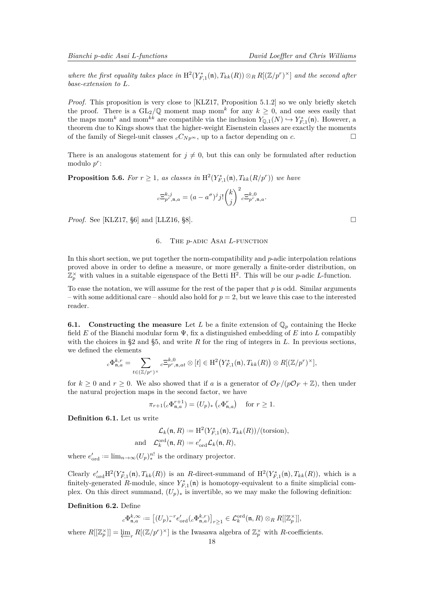<span id="page-17-1"></span>where the first equality takes place in  $H^2(Y_{F,1}^*(\mathfrak{n}), T_{kk}(R)) \otimes_R R[(\mathbb{Z}/p^r)^{\times}]$  and the second after *base-extension to L.*

*Proof.* This proposition is very close to [\[KLZ17,](#page-23-6) Proposition 5.1.2] so we only briefly sketch the proof. There is a  $GL_2/\mathbb{Q}$  moment map mom<sup>k</sup> for any  $k \geq 0$ , and one sees easily that the maps mom<sup>k</sup> and mom<sup>kk</sup> are compatible via the inclusion  $Y_{\mathbb{Q},1}(N) \hookrightarrow Y^*_{F,1}(\mathfrak{n})$ . However, a theorem due to Kings shows that the higher-weight Eisenstein classes are exactly the moments of the family of Siegel-unit classes  $cC_{Np^{\infty}}$ , up to a factor depending on *c*.

There is an analogous statement for  $j \neq 0$ , but this can only be formulated after reduction modulo *p r* :

<span id="page-17-0"></span>**Proposition 5.6.** For  $r \geq 1$ , as classes in  $\mathrm{H}^2(Y_{F,1}^*(\mathfrak{n}), T_{kk}(R/p^r))$  we have

$$
{}_c\Xi_{p^r,\mathfrak{n},a}^{k,j}=(a-a^\sigma)^jj!\binom{k}{j}^2{}_c\Xi_{p^r,\mathfrak{n},a}^{k,0}.
$$

*Proof.* See [\[KLZ17,](#page-23-6) §6] and [\[LLZ16,](#page-23-2) §8]. □

#### 6. The *p*-adic Asai *L*-function

In this short section, we put together the norm-compatibility and *p*-adic interpolation relations proved above in order to define a measure, or more generally a finite-order distribution, on  $\mathbb{Z}_p^{\times}$  with values in a suitable eigenspace of the Betti H<sup>2</sup>. This will be our *p*-adic *L*-function.

To ease the notation, we will assume for the rest of the paper that *p* is odd. Similar arguments – with some additional care – should also hold for  $p = 2$ , but we leave this case to the interested reader.

**6.1.** Constructing the measure Let *L* be a finite extension of  $\mathbb{Q}_p$  containing the Hecke field *E* of the Bianchi modular form Ψ, fix a distinguished embedding of *E* into *L* compatibly with the choices in §2 and §5, and write *R* for the ring of integers in *L*. In previous sections, we defined the elements

$$
{}_c\Phi^{k,r}_{\mathfrak{n},a} = \sum_{t \in (\mathbb{Z}/p^r)^\times} {}_c\Xi^{k,0}_{p^r,\mathfrak{n},at}\otimes [t] \in \mathrm{H}^2\big(Y^*_{F,1}(\mathfrak{n}),T_{kk}(R)\big) \otimes R[(\mathbb{Z}/p^r)^\times],
$$

for  $k \geq 0$  and  $r \geq 0$ . We also showed that if a is a generator of  $\mathcal{O}_F/(p\mathcal{O}_F + \mathbb{Z})$ , then under the natural projection maps in the second factor, we have

$$
\pi_{r+1}(c\Phi_{\mathfrak{n},a}^{r+1}) = (U_p)_*\left(c\Phi_{\mathfrak{n},a}^r\right) \quad \text{for } r \ge 1.
$$

**Definition 6.1.** Let us write

$$
\mathcal{L}_k(\mathfrak{n}, R) := \mathrm{H}^2(Y_{F,1}^*(\mathfrak{n}), T_{kk}(R)) / (\mathrm{torsion}),
$$
  
 
$$
\mathcal{L}_k^{\mathrm{ord}}(\mathfrak{n}, R) := e'_{\mathrm{ord}} \mathcal{L}_k(\mathfrak{n}, R),
$$

where  $e'_{\text{ord}} := \lim_{n \to \infty} (U_p)_*^{n!}$  is the ordinary projector.

an

Clearly  $e'_{\text{ord}}H^2(Y_{F,1}^*(\mathfrak{n}), T_{kk}(R))$  is an *R*-direct-summand of  $H^2(Y_{F,1}^*(\mathfrak{n}), T_{kk}(R))$ , which is a finitely-generated  $R$ -module, since  $Y_{F,1}^*(\mathfrak{n})$  is homotopy-equivalent to a finite simplicial complex. On this direct summand,  $(U_p)_*$  is invertible, so we may make the following definition:

### **Definition 6.2.** Define

$$
{}_c\Phi_{\mathfrak{n},a}^{k,\infty} := \big[(U_p)^{-r}_* e'_{\mathrm{ord}}({}_c\Phi_{\mathfrak{n},a}^{k,r})\big]_{r\geq 1} \in \mathcal{L}_k^{\mathrm{ord}}(\mathfrak{n},R) \otimes_R R[[\mathbb{Z}_p^{\times}]],
$$

where  $R[[\mathbb{Z}_p^{\times}]] = \varprojlim_r R[(\mathbb{Z}/p^r)^{\times}]$  is the Iwasawa algebra of  $\mathbb{Z}_p^{\times}$  with *R*-coefficients.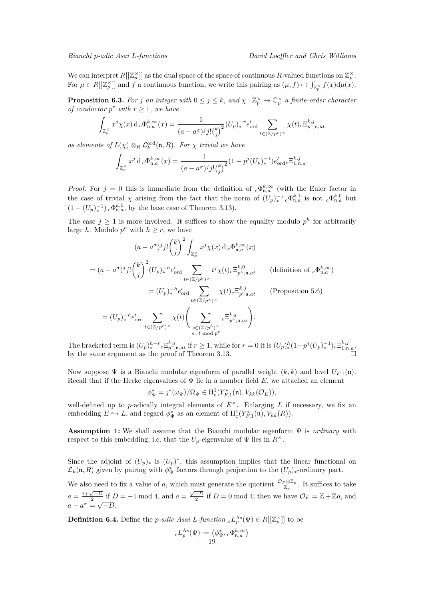We can interpret  $R[[\mathbb{Z}_p^{\times}]]$  as the dual space of the space of continuous R-valued functions on  $\mathbb{Z}_p^{\times}$ . For  $\mu \in R[[\mathbb{Z}_p^{\times}]]$  and  $\hat{f}$  a continuous function, we write this pairing as  $(\mu, f) \mapsto \int_{\mathbb{Z}_p^{\times}} f(x) d\mu(x)$ .

<span id="page-18-1"></span>**Proposition 6.3.** For *j* an integer with  $0 \le j \le k$ , and  $\chi : \mathbb{Z}_p^{\times} \to \mathbb{C}_p^{\times}$  a finite-order character *of conductor*  $p^r$  *with*  $r \geq 1$ *, we have* 

$$
\int_{\mathbb{Z}_p^\times} x^j \chi(x) \,\mathrm{d}_c \Phi_{\mathfrak{n},a}^{k,\infty}(x) = \frac{1}{(a - a^{\sigma})^j j! {k \choose j}^2} (U_p)^{-r} e'_{\text{ord}} \sum_{t \in (\mathbb{Z}/p^r)^\times} \chi(t)_{c} \Xi_{p^r,\mathfrak{n},at}^{k,j}
$$

*as elements of*  $L(\chi) \otimes_R \mathcal{L}_k^{\text{ord}}(\mathfrak{n}, R)$ *. For*  $\chi$  *trivial we have* 

$$
\int_{\mathbb{Z}_p^{\times}} x^j \, \mathrm{d}_c \Phi_{\mathfrak{n},a}^{k,\infty}(x) = \frac{1}{(a - a^{\sigma})^j j! {k \choose j}^2} (1 - p^j (U_p)^{-1}_*) e'_{\text{ord}c} \Xi_{1,\mathfrak{n},a}^{k,j}.
$$

*Proof.* For  $j = 0$  this is immediate from the definition of  ${}_{c}\Phi_{n,a}^{k,\infty}$  (with the Euler factor in the case of trivial  $\chi$  arising from the fact that the norm of  $(U_p)^{-1}_{*} c \Phi_{\mathfrak{n},a}^{k,1}$  is not  ${}_{c} \Phi_{\mathfrak{n},a}^{k,0}$  but  $(1 - (U_p)^{-1}_*)_c \Phi_{\mathfrak{n},a}^{k,0}$ , by the base case of Theorem [3.13\)](#page-10-0).

The case  $j \geq 1$  is more involved. It suffices to show the equality modulo  $p^h$  for arbitrarily large *h*. Modulo  $p^h$  with  $h \geq r$ , we have

$$
(a - a^{\sigma})^{j} j! \binom{k}{j}^{2} \int_{\mathbb{Z}_{p}^{\times}} x^{j} \chi(x) d_{c} \Phi_{\mathfrak{n},a}^{k,\infty}(x)
$$
  
\n
$$
= (a - a^{\sigma})^{j} j! \binom{k}{j}^{2} (U_{p})_{*}^{-h} e_{\text{ord}}' \sum_{t \in (\mathbb{Z}/p^{h})^{\times}} t^{j} \chi(t)_{c} \Xi_{p^{h},\mathfrak{n},at}^{k,0} \qquad \text{(definition of }_{c} \Phi_{\mathfrak{n},a}^{k,\infty})
$$
  
\n
$$
= (U_{p})_{*}^{-h} e_{\text{ord}}' \sum_{t \in (\mathbb{Z}/p^{h})^{\times}} \chi(t)_{c} \Xi_{p^{h},\mathfrak{n},at}^{k,j} \qquad \text{(Proposition 5.6)}
$$
  
\n
$$
= (U_{p})_{*}^{-h} e_{\text{ord}}' \sum_{t \in (\mathbb{Z}/p^{r})^{\times}} \chi(t) \left( \sum_{\substack{s \in (\mathbb{Z}/p^{h})^{\times} \\ s=t \bmod p^{r}}} c \Xi_{p^{h},\mathfrak{n},as}^{k,j} \right).
$$

The bracketed term is  $(U_p)^{h-r}_{*} c \equiv_{p^r, n,at}^{k,j}$  if  $r \geq 1$ , while for  $r = 0$  it is  $(U_p)^{h}_{*} (1 - p^{j} (U_p)^{-1}_{*})_{c} \equiv_{1,n,a}^{k,j}$ by the same argument as the proof of Theorem [3.13.](#page-10-0)

Now suppose  $\Psi$  is a Bianchi modular eigenform of parallel weight  $(k, k)$  and level  $U_{F,1}(\mathfrak{n})$ . Recall that if the Hecke eigenvalues of Ψ lie in a number field *E*, we attached an element

$$
\phi^*_{\Psi} = \jmath^*(\omega_{\Psi})/\Omega_{\Psi} \in \mathrm{H}^1_c(Y^*_{F,1}(\mathfrak{n}), V_{kk}(\mathcal{O}_E)),
$$

well-defined up to *p*-adically integral elements of  $E^{\times}$ . Enlarging L if necessary, we fix an embedding  $E \hookrightarrow L$ , and regard  $\phi_{\Psi}^*$  as an element of  $H_c^1(Y_{F,1}^*(\mathfrak{n}), V_{kk}(R))$ .

**Assumption 1:** We shall assume that the Bianchi modular eigenform Ψ is *ordinary* with respect to this embedding, i.e. that the  $U_p$ -eigenvalue of  $\Psi$  lies in  $R^{\times}$ .

Since the adjoint of  $(U_p)_*$  is  $(U_p)^*$ , this assumption implies that the linear functional on  $\mathcal{L}_k(\mathfrak{n}, R)$  given by pairing with  $\phi_{\Psi}^*$  factors through projection to the  $(U_p)_*$ -ordinary part.

We also need to fix a value of a, which must generate the quotient  $\frac{\mathcal{O}_F \otimes \mathbb{Z}_p}{\mathbb{Z}_p}$ . It suffices to take  $a = \frac{1+\sqrt{-D}}{2}$  if  $D = -1$  mod 4, and  $a = \frac{\sqrt{-D}}{2}$  if  $D = 0$  mod 4; then we have  $\mathcal{O}_F = \mathbb{Z} + \mathbb{Z}a$ , and  $a - \frac{2}{a - \sqrt{a}}$ −*D*.

<span id="page-18-0"></span>**Definition 6.4.** Define the *p*-adic Asai *L*-function  ${}_{c}L_{p}^{\text{As}}(\Psi) \in R[[\mathbb{Z}_{p}^{\times}]]$  to be

$$
{}_cL_p^{\mathrm{As}}(\Psi):=\left\langle \phi^*_\Psi, {}_c\Phi_{\mathfrak{n},a}^{k,\infty} \right\rangle
$$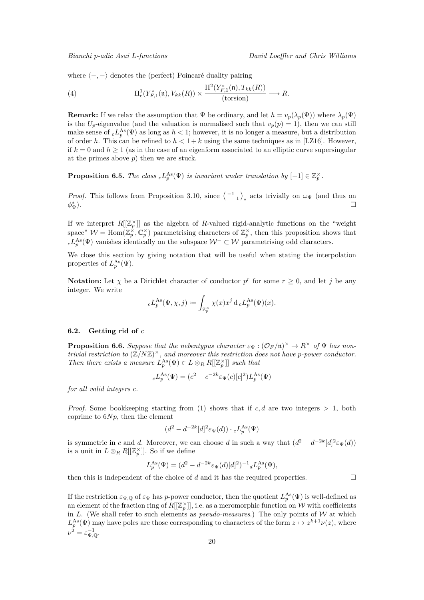<span id="page-19-2"></span>where  $\langle$  −, − \denotes the (perfect) Poincaré duality pairing

<span id="page-19-1"></span>(4) 
$$
H_c^1(Y_{F,1}^*(\mathfrak{n}), V_{kk}(R)) \times \frac{H^2(Y_{F,1}^*(\mathfrak{n}), T_{kk}(R))}{\text{(torsion)}} \longrightarrow R.
$$

**Remark:** If we relax the assumption that  $\Psi$  be ordinary, and let  $h = v_p(\lambda_p(\Psi))$  where  $\lambda_p(\Psi)$ is the  $U_p$ -eigenvalue (and the valuation is normalised such that  $v_p(p) = 1$ ), then we can still make sense of  $_c L_p^{\text{As}}(\Psi)$  as long as  $h < 1$ ; however, it is no longer a measure, but a distribution of order *h*. This can be refined to  $h < 1 + k$  using the same techniques as in [\[LZ16\]](#page-23-13). However, if  $k = 0$  and  $h \ge 1$  (as in the case of an eigenform associated to an elliptic curve supersingular at the primes above *p*) then we are stuck.

**Proposition 6.5.** *The class*  $cL_p^{\text{As}}(\Psi)$  *is invariant under translation by*  $[-1] \in \mathbb{Z}_p^{\times}$ .

*Proof.* This follows from Proposition [3.10,](#page-10-2) since  $\binom{-1}{1}_*$  acts trivially on  $\omega_{\Psi}$  (and thus on *φ* ∗  $\mathbb{L}_{\Psi}^*$ ).

If we interpret  $R[[\mathbb{Z}_p^{\times}]]$  as the algebra of *R*-valued rigid-analytic functions on the "weight" space"  $W = \text{Hom}(\mathbb{Z}_p^{\times}, \mathbb{C}_p^{\times})$  parametrising characters of  $\mathbb{Z}_p^{\times}$ , then this proposition shows that  $c L_p^{\text{As}}(\Psi)$  vanishes identically on the subspace  $W^- \subset \mathcal{W}$  parametrising odd characters.

We close this section by giving notation that will be useful when stating the interpolation properties of  $L_p^{\text{As}}(\Psi)$ .

**Notation:** Let  $\chi$  be a Dirichlet character of conductor  $p^r$  for some  $r \geq 0$ , and let *j* be any integer. We write

$$
{}_cL_p^{\mathrm{As}}(\Psi,\chi,j):=\int_{\mathbb{Z}_p^\times}\chi(x)x^j\operatorname{d}_cL_p^{\mathrm{As}}(\Psi)(x).
$$

#### <span id="page-19-0"></span>**6.2. Getting rid of** *c*

**Proposition 6.6.** *Suppose that the nebentypus character*  $\varepsilon_{\Psi}$  :  $(\mathcal{O}_F/\mathfrak{n})^{\times} \to R^{\times}$  *of*  $\Psi$  *has nontrivial restriction to* (Z*/N*Z) <sup>×</sup>*, and moreover this restriction does not have p-power conductor. Then there exists a measure*  $L_p^{\text{As}}(\Psi) \in L \otimes_R R[[\mathbb{Z}_p^{\times}]]$  *such that* 

$$
_cL_p^{\text{As}}(\Psi) = (c^2 - c^{-2k} \varepsilon_\Psi(c)[c]^2) L_p^{\text{As}}(\Psi)
$$

*for all valid integers c.*

*Proof.* Some bookkeeping starting from [\(1\)](#page-8-1) shows that if  $c, d$  are two integers  $> 1$ , both coprime to  $6Np$ , then the element

$$
(d^2 - d^{-2k} [d]^2 \varepsilon_{\Psi}(d)) \cdot {}_cL_p^{\text{As}}(\Psi)
$$

is symmetric in *c* and *d*. Moreover, we can choose *d* in such a way that  $(d^2 - d^{-2k} [d]^2 \varepsilon_{\Psi}(d))$ is a unit in  $L \otimes_R R[[\mathbb{Z}_p^{\times}]]$ . So if we define

$$
L_p^{\text{As}}(\Psi) = (d^2 - d^{-2k} \varepsilon_{\Psi}(d)[d]^2)^{-1} dL_p^{\text{As}}(\Psi),
$$

then this is independent of the choice of *d* and it has the required properties.

If the restriction  $\varepsilon_{\Psi,Q}$  of  $\varepsilon_{\Psi}$  has *p*-power conductor, then the quotient  $L_p^{\text{As}}(\Psi)$  is well-defined as an element of the fraction ring of  $R[[\mathbb{Z}_p^\times]]$ , i.e. as a meromorphic function on W with coefficients in *L*. (We shall refer to such elements as *pseudo-measures*.) The only points of  $W$  at which  $L_p^{\text{As}}(\Psi)$  may have poles are those corresponding to characters of the form  $z \mapsto z^{k+1}\nu(z)$ , where  $\nu^{\overline{2}}=\varepsilon^{-1}_{\Psi,\mathbb{Q}}.$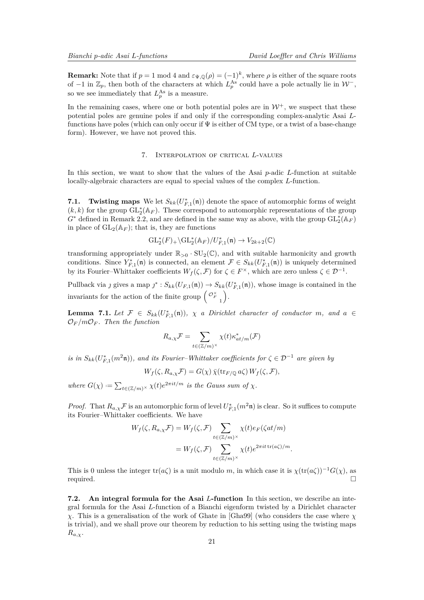<span id="page-20-0"></span>**Remark:** Note that if  $p = 1 \text{ mod } 4$  and  $\varepsilon_{\Psi, \mathbb{Q}}(\rho) = (-1)^k$ , where  $\rho$  is either of the square roots of  $-1$  in  $\mathbb{Z}_p$ , then both of the characters at which  $L_p^{\text{As}}$  could have a pole actually lie in  $\mathcal{W}^-$ , so we see immediately that  $L_p^{\text{As}}$  is a measure.

In the remaining cases, where one or both potential poles are in  $\mathcal{W}^+$ , we suspect that these potential poles are genuine poles if and only if the corresponding complex-analytic Asai *L*functions have poles (which can only occur if  $\Psi$  is either of CM type, or a twist of a base-change form). However, we have not proved this.

## 7. Interpolation of critical *L*-values

In this section, we want to show that the values of the Asai *p*-adic *L*-function at suitable locally-algebraic characters are equal to special values of the complex *L*-function.

**7.1.** Twisting maps We let  $S_{kk}(U_{F,1}^*(\mathfrak{n}))$  denote the space of automorphic forms of weight  $(k, k)$  for the group  $\mathrm{GL}_2^*(\mathbb{A}_F)$ . These correspond to automorphic representations of the group  $G^*$  defined in Remark [2.2,](#page-4-1) and are defined in the same way as above, with the group  $\mathrm{GL}_2^*(\mathbb{A}_F)$ in place of  $GL_2(\mathbb{A}_F)$ ; that is, they are functions

$$
\mathrm{GL}_2^*(F)_+\backslash \mathrm{GL}_2^*(\mathbb{A}_F)/U_{F,1}^*(\mathfrak{n})\to V_{2k+2}(\mathbb{C})
$$

transforming appropriately under  $\mathbb{R}_{>0} \cdot SU_2(\mathbb{C})$ , and with suitable harmonicity and growth conditions. Since  $Y_{F,1}^*(\mathfrak{n})$  is connected, an element  $\mathcal{F} \in S_{kk}(U_{F,1}^*(\mathfrak{n}))$  is uniquely determined by its Fourier–Whittaker coefficients  $W_f(\zeta, \mathcal{F})$  for  $\zeta \in F^\times$ , which are zero unless  $\zeta \in \mathcal{D}^{-1}$ .

Pullback via *j* gives a map  $j^*$ :  $S_{kk}(U_{F,1}(\mathfrak{n})) \to S_{kk}(U_{F,1}^*(\mathfrak{n}))$ , whose image is contained in the invariants for the action of the finite group  $\begin{pmatrix} \mathcal{O}_F^{\times} & \cdots & \mathcal{O}_F^{\times} \end{pmatrix}$ .

**Lemma 7.1.** Let  $\mathcal{F} \in S_{kk}(U_{F,1}^*(\mathfrak{n}))$ ,  $\chi$  *a Dirichlet character of conductor m, and*  $a \in$  $\mathcal{O}_F/m\mathcal{O}_F$ . Then the function

$$
R_{a,\chi}\mathcal{F} = \sum_{t \in (\mathbb{Z}/m)^\times} \chi(t) \kappa_{at/m}^*(\mathcal{F})
$$

*is in*  $S_{kk}(U_{F,1}^*(m^2\mathfrak{n}))$ , and its Fourier–Whittaker coefficients for  $\zeta \in \mathcal{D}^{-1}$  are given by

$$
W_f(\zeta, R_{a,\chi}\mathcal{F}) = G(\chi)\,\overline{\chi}(\text{tr}_{F/\mathbb{Q}}\,a\zeta)\,W_f(\zeta,\mathcal{F}),
$$

*where*  $G(\chi) := \sum_{t \in (\mathbb{Z}/m)^\times} \chi(t) e^{2\pi i t/m}$  *is the Gauss sum of*  $\chi$ *.* 

*Proof.* That  $R_{a,\chi} \mathcal{F}$  is an automorphic form of level  $U_{F,1}^*(m^2\mathfrak{n})$  is clear. So it suffices to compute its Fourier–Whittaker coefficients. We have

$$
W_f(\zeta, R_{a,\chi}\mathcal{F}) = W_f(\zeta, \mathcal{F}) \sum_{t \in (\mathbb{Z}/m)^\times} \chi(t) e_F(\zeta at/m)
$$
  
= 
$$
W_f(\zeta, \mathcal{F}) \sum_{t \in (\mathbb{Z}/m)^\times} \chi(t) e^{2\pi i t \operatorname{tr}(a\zeta)/m}.
$$

This is 0 unless the integer tr( $a\zeta$ ) is a unit modulo *m*, in which case it is  $\chi(\text{tr}(a\zeta))^{-1}G(\chi)$ , as required.

**7.2. An integral formula for the Asai** *L***-function** In this section, we describe an integral formula for the Asai *L*-function of a Bianchi eigenform twisted by a Dirichlet character *χ*. This is a generalisation of the work of Ghate in [\[Gha99\]](#page-23-0) (who considers the case where *χ* is trivial), and we shall prove our theorem by reduction to his setting using the twisting maps *Ra,χ*.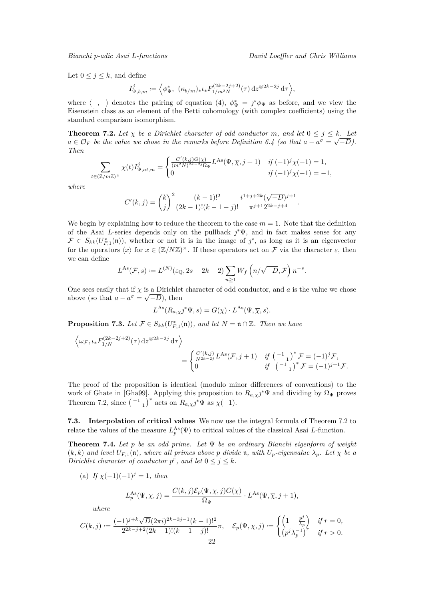<span id="page-21-2"></span>Let  $0 \leq j \leq k$ , and define

$$
I_{\Psi,b,m}^{j} := \left\langle \phi_{\Psi}^{*}, \ (\kappa_{b/m})_{*} \iota_{*} F_{1/m^{2}N}^{(2k-2j+2)}(\tau) \, \mathrm{d}z^{\otimes 2k-2j} \, \mathrm{d}\tau \right\rangle,
$$

where  $\langle -, - \rangle$  denotes the pairing of equation [\(4\)](#page-19-1),  $\phi^*_{\Psi} = j^* \phi_{\Psi}$  as before, and we view the Eisenstein class as an element of the Betti cohomology (with complex coefficients) using the standard comparison isomorphism.

<span id="page-21-1"></span>**Theorem 7.2.** Let  $\chi$  be a Dirichlet character of odd conductor m, and let  $0 \leq j \leq k$ . Let  $a \in \mathcal{O}_F$  *be the value we chose in the remarks before Definition* [6.4](#page-18-0) *(so that*  $a - a^{\sigma} = \sqrt{-D}$ *). Then*

$$
\sum_{\mathbf{i} \in (\mathbb{Z}/m\mathbb{Z})^{\times}} \chi(t) I_{\Psi,at,m}^{j} = \begin{cases} \frac{C'(k,j)G(\chi)}{(m^{2}N)^{2k-2j}\Omega_{\Psi}} L^{\text{As}}(\Psi,\overline{\chi},j+1) & \text{if } (-1)^{j} \chi(-1) = 1, \\ 0 & \text{if } (-1)^{j} \chi(-1) = -1, \end{cases}
$$

*where*

*t*∈(Z*/m*Z)<sup>×</sup>

$$
C'(k,j) = \binom{k}{j}^2 \frac{(k-1)!^2}{(2k-1)!(k-1-j)!} \frac{i^{1+j+2k}(\sqrt{-D})^{j+1}}{\pi^{j+1}2^{2k-j+4}}.
$$

We begin by explaining how to reduce the theorem to the case  $m = 1$ . Note that the definition of the Asai *L*-series depends only on the pullback  $\jmath^*\Psi$ , and in fact makes sense for any  $\mathcal{F} \in S_{kk}(U_{F,1}^*(\mathfrak{n}))$ , whether or not it is in the image of  $j^*$ , as long as it is an eigenvector for the operators  $\langle x \rangle$  for  $x \in (\mathbb{Z}/N\mathbb{Z})^{\times}$ . If these operators act on F via the character  $\varepsilon$ , then we can define

$$
L^{As}(\mathcal{F},s) := L^{(N)}(\varepsilon_{\mathbb{Q}}, 2s - 2k - 2) \sum_{n \ge 1} W_f\left(n/\sqrt{-D}, \mathcal{F}\right) n^{-s}.
$$

One sees easily that if  $\chi$  is a Dirichlet character of odd conductor, and *a* is the value we chose above (so that  $a - a^{\sigma} = \sqrt{-D}$ ), then

$$
L^{As}(R_{a,\chi}j^*\Psi, s) = G(\chi) \cdot L^{As}(\Psi, \overline{\chi}, s).
$$

**Proposition 7.3.** *Let*  $\mathcal{F} \in S_{kk}(U_{F,1}^*(\mathfrak{n}))$ *, and let*  $N = \mathfrak{n} \cap \mathbb{Z}$ *. Then we have* 

$$
\begin{aligned}\n\left\langle \omega_{\mathcal{F}}, \iota_{*} F_{1/N}^{(2k-2j+2)}(\tau) \, \mathrm{d}z^{\otimes 2k-2j} \, \mathrm{d}\tau \right\rangle \\
&= \begin{cases}\n\frac{C'(k,j)}{N^{2k-2j}} L^{\mathrm{As}}(\mathcal{F}, j+1) & \text{if } \left( \begin{smallmatrix} -1 \\ 1 \end{smallmatrix} \right)^{*} \mathcal{F} = (-1)^{j} \mathcal{F}, \\
\text{if } \left( \begin{smallmatrix} -1 \\ 1 \end{smallmatrix} \right)^{*} \mathcal{F} = (-1)^{j+1} \mathcal{F}.\n\end{cases}\n\end{aligned}
$$

The proof of the proposition is identical (modulo minor differences of conventions) to the work of Ghate in [\[Gha99\]](#page-23-0). Applying this proposition to  $R_{a,\chi}j^*\Psi$  and dividing by  $\Omega_{\Psi}$  proves Theorem [7.2,](#page-21-1) since  $\left(\begin{array}{c} -1\\1 \end{array}\right)^*$  acts on  $R_{a,\chi}j^*\Psi$  as  $\chi(-1)$ .

**7.3. Interpolation of critical values** We now use the integral formula of Theorem [7.2](#page-21-1) to relate the values of the measure  $L_p^{\text{As}}(\Psi)$  to critical values of the classical Asai *L*-function.

<span id="page-21-0"></span>**Theorem 7.4.** *Let p be an odd prime. Let* Ψ *be an ordinary Bianchi eigenform of weight*  $(k, k)$  *and level*  $U_{F,1}(\mathfrak{n})$ *, where all primes above p divide*  $\mathfrak{n}$ *, with*  $U_p$ *-eigenvalue*  $\lambda_p$ *. Let*  $\chi$  *be a Dirichlet character of conductor*  $p^r$ , and let  $0 \leq j \leq k$ .

(a) *If*  $\chi(-1)(-1)^j = 1$ *, then* 

$$
L_p^{\text{As}}(\Psi,\chi,j) = \frac{C(k,j)\mathcal{E}_p(\Psi,\chi,j)G(\chi)}{\Omega_\Psi} \cdot L^{\text{As}}(\Psi,\overline{\chi},j+1),
$$

*where*

$$
C(k,j):=\frac{(-1)^{j+k}\sqrt{D}(2\pi i)^{2k-3j-1}(k-1)!^2}{2^{2k-j+2}(2k-1)!(k-1-j)!}\pi,\quad \mathcal{E}_p(\Psi,\chi,j):=\begin{cases} \left(1-\frac{p^j}{\lambda_p}\right) & \text{if } r=0,\\ \left(p^j\lambda_p^{-1}\right)^r & \text{if } r>0. \end{cases}
$$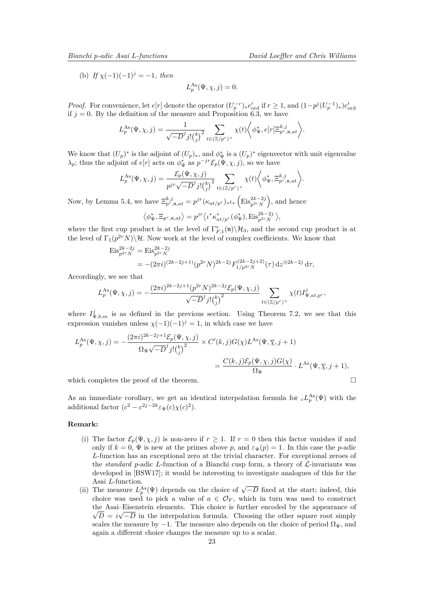<span id="page-22-0"></span>(b) *If*  $\chi(-1)(-1)^j = -1$ *, then* 

$$
L_p^{\text{As}}(\Psi, \chi, j) = 0.
$$

*Proof.* For convenience, let  $e[r]$  denote the operator  $(U_p^{-r})_* e'_{\text{ord}}$  if  $r \ge 1$ , and  $(1-p^j(U_p^{-1})_* e'_{\text{ord}})$ if  $j = 0$ . By the definition of the measure and Proposition [6.3,](#page-18-1) we have

$$
L_p^{\text{As}}(\Psi,\chi,j) = \frac{1}{\sqrt{-D}^j j! {k \choose j}^2} \sum_{t \in (\mathbb{Z}/p^r)^\times} \chi(t) \bigg\langle \phi^*_{\Psi}, e[r] \Xi_{p^r,\mathfrak{n},at}^{k,j} \bigg\rangle.
$$

We know that  $(U_p)^*$  is the adjoint of  $(U_p)_*$ , and  $\phi^*_{\Psi}$  is a  $(U_p)^*$  eigenvector with unit eigenvalue *λ*<sub>*p*</sub>; thus the adjoint of *e*[*r*] acts on  $\phi^*$ <sub>Ψ</sub> as  $p^{-jr} \mathcal{E}_p(\Psi, \chi, j)$ , so we have

$$
L_p^{\text{As}}(\Psi,\chi,j) = \frac{\mathcal{E}_p(\Psi,\chi,j)}{p^{jr}\sqrt{-D}^j j! {k \choose j}^2} \sum_{t \in (\mathbb{Z}/p^r)^\times} \chi(t) \bigg\langle \phi^*_{\Psi}, \Xi_{p^r,\mathfrak{n},at}^{k,j} \bigg\rangle.
$$

Now, by Lemma [5.4,](#page-16-0) we have  $\Xi_{p^r, \mathfrak{n},at}^{k,j} = p^{jr}(\kappa_{at/p^r})_{*} \iota_{*} \left( \mathrm{Eis}_{p^{2r}N}^{2k-2j} \right)$ , and hence

$$
\left\langle \phi_{\Psi}^*, \Xi_{p^r, \mathfrak{n}, at} \right\rangle = p^{jr} \left\langle \iota^* \kappa_{at/p^r}^* (\phi_{\Psi}^*), \mathrm{Eis}_{p^{2r}N}^{2k-2j} \right\rangle,
$$

where the first cup product is at the level of  $\Gamma_{F,1}^*(n)\backslash\mathcal{H}_3$ , and the second cup product is at the level of  $\Gamma_1(p^{2r}N)\backslash\mathcal{H}$ . Now work at the level of complex coefficients. We know that

$$
\mathrm{Eis}_{p^{2r}N}^{2k-2j} = \mathrm{Eis}_{p^{2r}N}^{2k-2j}
$$
  
= -\left(2\pi i\right)^{\left(2k-2j+1\right)} (p^{2r}N)^{2k-2j} F\_{1/p^{2r}N}^{\left(2k-2j+2\right)}(\tau) \, \mathrm{d}z^{\otimes 2k-2j} \, \mathrm{d}\tau,

Accordingly, we see that

$$
L_p^{\text{As}}(\Psi,\chi,j) = -\frac{(2\pi i)^{2k-2j+1} (p^{2r}N)^{2k-2j} \mathcal{E}_p(\Psi,\chi,j)}{\sqrt{-D}^j j! {k \choose j}^2} \sum_{t \in (\mathbb{Z}/p^r)^\times} \chi(t) I_{\Psi,at,p^r}^j,
$$

where  $I_{\Psi,b,m}^j$  is as defined in the previous section. Using Theorem [7.2,](#page-21-1) we see that this expression vanishes unless  $\chi(-1)(-1)^j = 1$ , in which case we have

$$
L_p^{\text{As}}(\Psi, \chi, j) = -\frac{(2\pi i)^{2k - 2j + 1} \mathcal{E}_p(\Psi, \chi, j)}{\Omega_{\Psi} \sqrt{-D}^j j! {k \choose j}^2} \times C'(k, j) G(\chi) L^{\text{As}}(\Psi, \overline{\chi}, j + 1)
$$
  
= 
$$
\frac{C(k, j) \mathcal{E}_p(\Psi, \chi, j) G(\chi)}{\Omega_{\Psi}} \cdot L^{\text{As}}(\Psi, \overline{\chi}, j + 1),
$$
which completes the proof of the theorem.

As an immediate corollary, we get an identical interpolation formula for  $cL_p^{\text{As}}(\Psi)$  with the additional factor  $(c^2 - c^{2j-2k} \varepsilon_{\Psi}(c) \chi(c)^2)$ .

## **Remark:**

- (i) The factor  $\mathcal{E}_p(\Psi, \chi, j)$  is non-zero if  $r \geq 1$ . If  $r = 0$  then this factor vanishes if and only if  $k = 0$ ,  $\Psi$  is new at the primes above p, and  $\varepsilon_{\Psi}(p) = 1$ . In this case the p-adic *L*-function has an exceptional zero at the trivial character. For exceptional zeroes of the *standard p*-adic *L*-function of a Bianchi cusp form, a theory of  $\mathcal{L}$ -invariants was developed in [\[BSW17\]](#page-23-9); it would be interesting to investigate analogues of this for the Asai *L*-function.
- Assumed *L*-function.<br>
(ii) The measure  $L_p^{\text{As}}(\Psi)$  depends on the choice of  $\sqrt{-D}$  fixed at the start; indeed, this choice was used to pick a value of  $a \in \mathcal{O}_F$ , which in turn was used to construct the Asai–Eisenstein elements. This choice is further encoded by the appearance of  $\sqrt{P}$  $D = i\sqrt{-D}$  in the interpolation formula. Choosing the other square root simply scales the measure by  $-1$ . The measure also depends on the choice of period  $\Omega_{\Psi}$ , and again a different choice changes the measure up to a scalar.